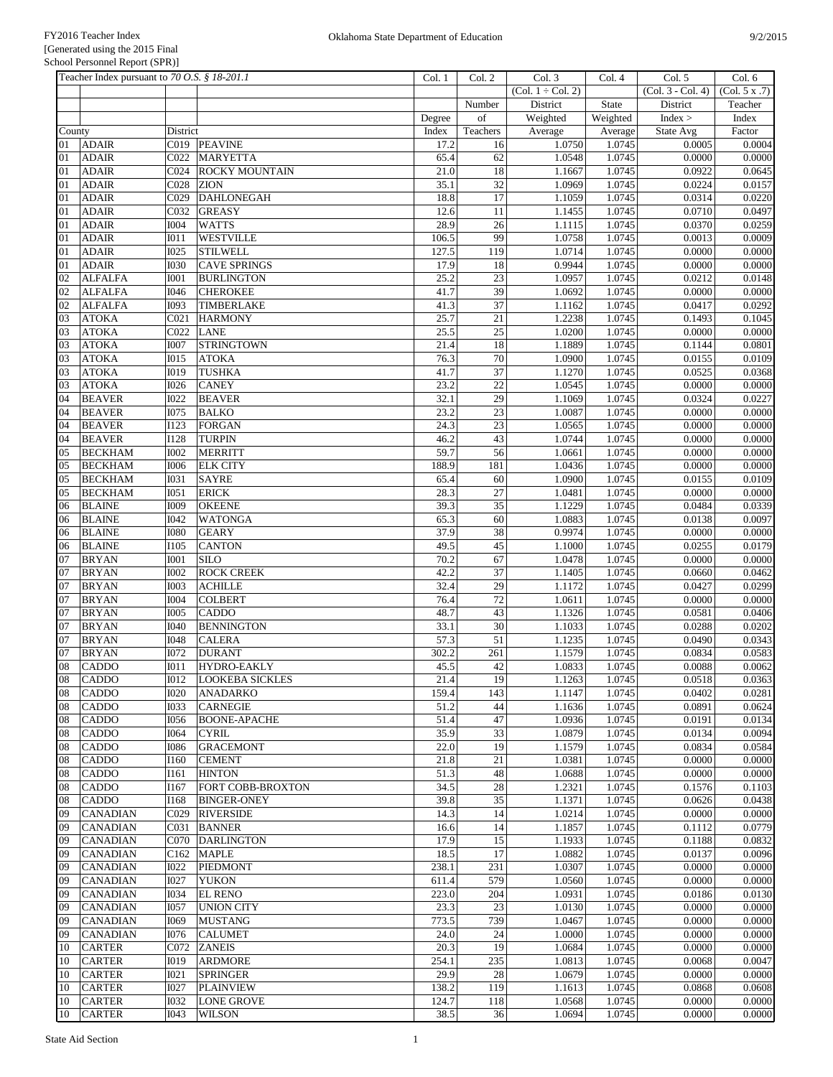|          | Teacher Index pursuant to 70 O.S. § 18-201.1 |                            |                                | Col. 1       | Col. 2                | Col. 3                         | Col. 4           | Col. 5            | Col. 6                     |
|----------|----------------------------------------------|----------------------------|--------------------------------|--------------|-----------------------|--------------------------------|------------------|-------------------|----------------------------|
|          |                                              |                            |                                |              |                       | $\overline{(Col. 1 + Col. 2)}$ |                  | (Col. 3 - Col. 4) | $\overline{(Col. 5 x .7)}$ |
|          |                                              |                            |                                |              | Number                | District                       | State            | District          | Teacher                    |
|          |                                              |                            |                                | Degree       | of                    | Weighted                       | Weighted         | Index >           | Index                      |
| County   |                                              | District                   |                                | Index        | Teachers              | Average                        | Average          | State Avg         | Factor                     |
| 01       | <b>ADAIR</b>                                 |                            | C019 PEAVINE                   | 17.2         | 16                    | 1.0750                         | 1.0745           | 0.0005            | 0.0004                     |
| 01       | <b>ADAIR</b>                                 | C022                       | MARYETTA                       | 65.4         | 62                    | 1.0548                         | 1.0745           | 0.0000            | 0.0000                     |
| 01       | <b>ADAIR</b>                                 | C024                       | <b>ROCKY MOUNTAIN</b>          | 21.0         | 18                    | 1.1667                         | 1.0745           | 0.0922            | 0.0645                     |
| 01       | <b>ADAIR</b>                                 | C028                       | <b>ZION</b>                    | 35.1         | 32                    | 1.0969                         | 1.0745           | 0.0224            | 0.0157                     |
| 01       | <b>ADAIR</b>                                 | C029                       | <b>DAHLONEGAH</b>              | 18.8         | 17                    | 1.1059                         | 1.0745           | 0.0314            | 0.0220                     |
| 01       | <b>ADAIR</b>                                 | C032                       | <b>GREASY</b>                  | 12.6         | 11                    | 1.1455                         | 1.0745           | 0.0710            | 0.0497                     |
| 01       | <b>ADAIR</b>                                 | <b>I004</b>                | <b>WATTS</b>                   | 28.9         | $\overline{26}$       | 1.1115                         | 1.0745           | 0.0370            | 0.0259                     |
| 01       | <b>ADAIR</b>                                 | $I$ 011                    | <b>WESTVILLE</b>               | 106.5        | 99                    | 1.0758                         | 1.0745           | 0.0013            | 0.0009                     |
| 01       | <b>ADAIR</b>                                 | <b>I025</b>                | <b>STILWELL</b>                | 127.5        | 119                   | 1.0714                         | 1.0745           | 0.0000            | 0.0000                     |
| 01       | <b>ADAIR</b>                                 | <b>I030</b>                | <b>CAVE SPRINGS</b>            | 17.9         | 18                    | 0.9944                         | 1.0745           | 0.0000            | 0.0000                     |
| 02       | <b>ALFALFA</b>                               | <b>I001</b>                | <b>BURLINGTON</b>              | 25.2         | $\overline{23}$       | 1.0957                         | 1.0745           | 0.0212            | 0.0148                     |
| 02       | <b>ALFALFA</b>                               | <b>I046</b>                | <b>CHEROKEE</b>                | 41.7         | 39<br>37              | 1.0692                         | 1.0745           | 0.0000            | 0.0000                     |
| 02       | <b>ALFALFA</b>                               | <b>I093</b>                | TIMBERLAKE                     | 41.3         |                       | 1.1162                         | 1.0745           | 0.0417            | 0.0292                     |
| 03       | <b>ATOKA</b>                                 | CO <sub>21</sub>           | <b>HARMONY</b>                 | 25.7         | $\overline{21}$       | 1.2238                         | 1.0745           | 0.1493            | 0.1045                     |
| 03       | <b>ATOKA</b>                                 | C022                       | <b>LANE</b>                    | 25.5         | $\overline{25}$       | 1.0200                         | 1.0745           | 0.0000            | 0.0000                     |
| 03       | <b>ATOKA</b>                                 | <b>I007</b>                | <b>STRINGTOWN</b>              | 21.4         | 18                    | 1.1889                         | 1.0745           | 0.1144            | 0.0801                     |
| 03       | <b>ATOKA</b>                                 | <b>IO15</b>                | <b>ATOKA</b>                   | 76.3         | 70                    | 1.0900                         | 1.0745           | 0.0155            | 0.0109                     |
| 03       | <b>ATOKA</b>                                 | <b>I019</b>                | <b>TUSHKA</b>                  | 41.7         | $\overline{37}$       | 1.1270                         | 1.0745           | 0.0525            | 0.0368                     |
| 03       | <b>ATOKA</b>                                 | <b>I026</b>                | <b>CANEY</b>                   | 23.2         | $\overline{22}$       | 1.0545<br>1.1069               | 1.0745           | 0.0000<br>0.0324  | 0.0000                     |
| 04       | <b>BEAVER</b>                                | <b>I022</b>                | <b>BEAVER</b>                  | 32.1         | 29                    |                                | 1.0745           |                   | 0.0227                     |
| 04       | <b>BEAVER</b>                                | <b>I075</b>                | <b>BALKO</b>                   | 23.2         | $\overline{23}$       | 1.0087                         | 1.0745<br>1.0745 | 0.0000            | 0.0000                     |
| 04       | <b>BEAVER</b>                                | I123                       | <b>FORGAN</b>                  | 24.3         | 23                    | 1.0565                         |                  | 0.0000            | 0.0000                     |
| 04       | <b>BEAVER</b>                                | <b>I128</b>                | <b>TURPIN</b>                  | 46.2         | 43                    | 1.0744                         | 1.0745           | 0.0000            | 0.0000                     |
| 05       | <b>BECKHAM</b>                               | <b>IOO2</b>                | <b>MERRITT</b>                 | 59.7         | 56                    | 1.0661                         | 1.0745           | 0.0000            | 0.0000                     |
| 05       | <b>BECKHAM</b>                               | <b>I006</b>                | <b>ELK CITY</b>                | 188.9        | 181                   | 1.0436                         | 1.0745           | 0.0000            | 0.0000                     |
| 05       | <b>BECKHAM</b>                               | <b>I031</b>                | <b>SAYRE</b>                   | 65.4         | 60                    | 1.0900                         | 1.0745           | 0.0155            | 0.0109                     |
| 05       | <b>BECKHAM</b>                               | I051                       | <b>ERICK</b>                   | 28.3         | $\overline{27}$       | 1.0481                         | 1.0745           | 0.0000            | 0.0000                     |
| 06       | <b>BLAINE</b>                                | <b>I009</b>                | <b>OKEENE</b>                  | 39.3         | 35                    | 1.1229                         | 1.0745           | 0.0484            | 0.0339                     |
| 06       | <b>BLAINE</b>                                | I042                       | <b>WATONGA</b>                 | 65.3         | 60                    | 1.0883                         | 1.0745           | 0.0138            | 0.0097                     |
| 06       | <b>BLAINE</b>                                | <b>I080</b>                | <b>GEARY</b>                   | 37.9         | $\overline{38}$       | 0.9974                         | 1.0745           | 0.0000            | 0.0000                     |
| 06       | <b>BLAINE</b>                                | I105                       | <b>CANTON</b>                  | 49.5         | 45                    | 1.1000                         | 1.0745           | 0.0255            | 0.0179                     |
| 07<br>07 | <b>BRYAN</b>                                 | I001                       | <b>SILO</b>                    | 70.2<br>42.2 | 67<br>$\overline{37}$ | 1.0478                         | 1.0745<br>1.0745 | 0.0000<br>0.0660  | 0.0000<br>0.0462           |
|          | <b>BRYAN</b>                                 | <b>IOO2</b>                | <b>ROCK CREEK</b>              |              |                       | 1.1405                         |                  |                   |                            |
| 07<br>07 | <b>BRYAN</b>                                 | <b>IOO3</b>                | <b>ACHILLE</b>                 | 32.4         | 29<br>72              | 1.1172                         | 1.0745           | 0.0427<br>0.0000  | 0.0299                     |
| 07       | <b>BRYAN</b><br><b>BRYAN</b>                 | <b>I004</b><br><b>I005</b> | <b>COLBERT</b><br><b>CADDO</b> | 76.4<br>48.7 | 43                    | 1.0611<br>1.1326               | 1.0745<br>1.0745 | 0.0581            | 0.0000<br>0.0406           |
| 07       | <b>BRYAN</b>                                 | <b>I040</b>                | <b>BENNINGTON</b>              | 33.1         | 30                    | 1.1033                         | 1.0745           | 0.0288            | 0.0202                     |
| 07       | <b>BRYAN</b>                                 | <b>I048</b>                | <b>CALERA</b>                  | 57.3         | $\overline{51}$       | 1.1235                         | 1.0745           | 0.0490            | 0.0343                     |
| 07       | <b>BRYAN</b>                                 | I072                       | <b>DURANT</b>                  | 302.2        | 261                   | 1.1579                         | 1.0745           | 0.0834            | 0.0583                     |
| 08       | <b>CADDO</b>                                 | <b>IO11</b>                | HYDRO-EAKLY                    | 45.5         | 42                    | 1.0833                         | 1.0745           | 0.0088            | 0.0062                     |
| 08       | <b>CADDO</b>                                 | I012                       | <b>LOOKEBA SICKLES</b>         | 21.4         | 19                    | 1.1263                         | 1.0745           | 0.0518            | 0.0363                     |
| 08       | <b>CADDO</b>                                 | <b>I020</b>                | <b>ANADARKO</b>                | 159.4        | 143                   | 1.1147                         | 1.0745           | 0.0402            | 0.0281                     |
| 08       | <b>CADDO</b>                                 | <b>I033</b>                | <b>CARNEGIE</b>                | 51.2         | 44                    | 1.1636                         | 1.0745           | 0.0891            | 0.0624                     |
| 08       | <b>CADDO</b>                                 | <b>I056</b>                | <b>BOONE-APACHE</b>            | 51.4         | 47                    | 1.0936                         | 1.0745           | 0.0191            | 0.0134                     |
| 08       | <b>CADDO</b>                                 | <b>I064</b>                | <b>CYRIL</b>                   | 35.9         | 33                    | 1.0879                         | 1.0745           | 0.0134            | 0.0094                     |
| 08       | <b>CADDO</b>                                 | <b>I086</b>                | <b>GRACEMONT</b>               | 22.0         | 19                    | 1.1579                         | 1.0745           | 0.0834            | 0.0584                     |
| 08       | <b>CADDO</b>                                 | I160                       | <b>CEMENT</b>                  | 21.8         | 21                    | 1.0381                         | 1.0745           | 0.0000            | 0.0000                     |
| 08       | <b>CADDO</b>                                 | I161                       | <b>HINTON</b>                  | 51.3         | 48                    | 1.0688                         | 1.0745           | 0.0000            | 0.0000                     |
| 08       | <b>CADDO</b>                                 | I167                       | FORT COBB-BROXTON              | 34.5         | 28                    | 1.2321                         | 1.0745           | 0.1576            | 0.1103                     |
| 08       | <b>CADDO</b>                                 | I168                       | <b>BINGER-ONEY</b>             | 39.8         | 35                    | 1.1371                         | 1.0745           | 0.0626            | 0.0438                     |
| 09       | <b>CANADIAN</b>                              | CO <sub>29</sub>           | <b>RIVERSIDE</b>               | 14.3         | 14                    | 1.0214                         | 1.0745           | 0.0000            | 0.0000                     |
| 09       | <b>CANADIAN</b>                              | C031                       | <b>BANNER</b>                  | 16.6         | 14                    | 1.1857                         | 1.0745           | 0.1112            | 0.0779                     |
| 09       | <b>CANADIAN</b>                              | C070                       | <b>DARLINGTON</b>              | 17.9         | 15                    | 1.1933                         | 1.0745           | 0.1188            | 0.0832                     |
| 09       | <b>CANADIAN</b>                              | C <sub>162</sub>           | <b>MAPLE</b>                   | 18.5         | 17                    | 1.0882                         | 1.0745           | 0.0137            | 0.0096                     |
| 09       | <b>CANADIAN</b>                              | <b>I022</b>                | <b>PIEDMONT</b>                | 238.1        | 231                   | 1.0307                         | 1.0745           | 0.0000            | 0.0000                     |
| 09       | <b>CANADIAN</b>                              | <b>I027</b>                | <b>YUKON</b>                   | 611.4        | 579                   | 1.0560                         | 1.0745           | 0.0000            | 0.0000                     |
| 09       | <b>CANADIAN</b>                              | <b>I034</b>                | <b>EL RENO</b>                 | 223.0        | 204                   | 1.0931                         | 1.0745           | 0.0186            | 0.0130                     |
| 09       | <b>CANADIAN</b>                              | <b>I057</b>                | <b>UNION CITY</b>              | 23.3         | 23                    | 1.0130                         | 1.0745           | 0.0000            | 0.0000                     |
| 09       | <b>CANADIAN</b>                              | I069                       | <b>MUSTANG</b>                 | 773.5        | 739                   | 1.0467                         | 1.0745           | 0.0000            | 0.0000                     |
| 09       | <b>CANADIAN</b>                              | <b>I076</b>                | <b>CALUMET</b>                 | 24.0         | 24                    | 1.0000                         | 1.0745           | 0.0000            | 0.0000                     |
| 10       | <b>CARTER</b>                                | C072                       | <b>ZANEIS</b>                  | 20.3         | 19                    | 1.0684                         | 1.0745           | 0.0000            | 0.0000                     |
| 10       | <b>CARTER</b>                                | <b>IO19</b>                | <b>ARDMORE</b>                 | 254.1        | 235                   | 1.0813                         | 1.0745           | 0.0068            | 0.0047                     |
| 10       | <b>CARTER</b>                                | <b>I021</b>                | <b>SPRINGER</b>                | 29.9         | 28                    | 1.0679                         | 1.0745           | 0.0000            | 0.0000                     |
| 10       | <b>CARTER</b>                                | <b>I027</b>                | <b>PLAINVIEW</b>               | 138.2        | 119                   | 1.1613                         | 1.0745           | 0.0868            | 0.0608                     |
| 10       | <b>CARTER</b>                                | <b>I032</b>                | <b>LONE GROVE</b>              | 124.7        | 118                   | 1.0568                         | 1.0745           | 0.0000            | 0.0000                     |
| 10       | <b>CARTER</b>                                | <b>I043</b>                | <b>WILSON</b>                  | 38.5         | 36                    | 1.0694                         | 1.0745           | 0.0000            | 0.0000                     |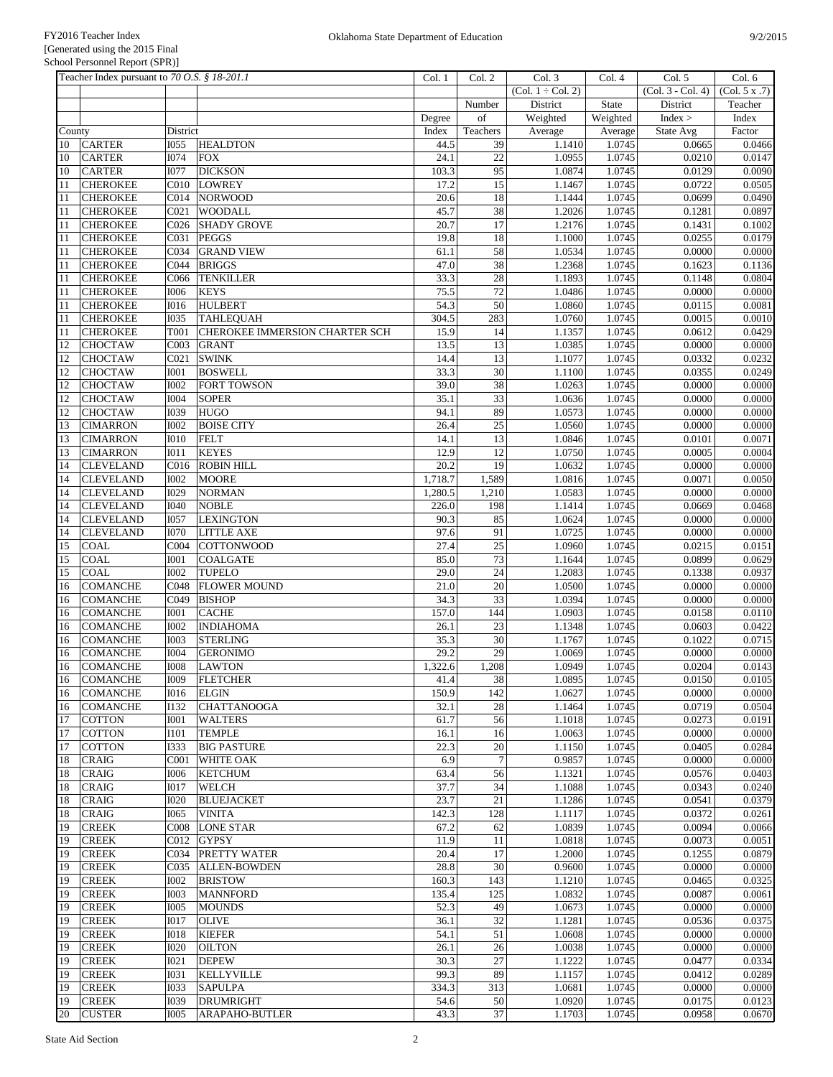|          | Teacher Index pursuant to 70 O.S. § 18-201.1 |                            |                                 | Col. 1           | Col. 2          | Col. 3              | Col.4            | Col. 5              | Col. 6           |
|----------|----------------------------------------------|----------------------------|---------------------------------|------------------|-----------------|---------------------|------------------|---------------------|------------------|
|          |                                              |                            |                                 |                  |                 | $(Col. 1 + Col. 2)$ |                  | $(Col. 3 - Col. 4)$ | (Col. 5 x .7)    |
|          |                                              |                            |                                 |                  | Number          | District            | State            | District            | Teacher          |
|          |                                              |                            |                                 | Degree           | of              | Weighted            | Weighted         | Index >             | Index            |
| County   |                                              | District                   |                                 | Index            | Teachers        | Average             | Average          | State Avg           | Factor           |
| 10       | <b>CARTER</b>                                | I055                       | <b>HEALDTON</b>                 | 44.5             | 39              | 1.1410              | 1.0745           | 0.0665              | 0.0466           |
| 10       | <b>CARTER</b>                                | <b>I074</b>                | <b>FOX</b>                      | 24.1             | $\overline{22}$ | 1.0955              | 1.0745           | 0.0210              | 0.0147           |
| 10<br>11 | <b>CARTER</b><br><b>CHEROKEE</b>             | <b>I077</b><br>C010        | <b>DICKSON</b><br><b>LOWREY</b> | 103.3<br>17.2    | 95<br>15        | 1.0874<br>1.1467    | 1.0745<br>1.0745 | 0.0129<br>0.0722    | 0.0090<br>0.0505 |
| 11       | <b>CHEROKEE</b>                              | CO14                       | <b>NORWOOD</b>                  | 20.6             | 18              | 1.1444              | 1.0745           | 0.0699              | 0.0490           |
| 11       | <b>CHEROKEE</b>                              | CO21                       | WOODALL                         | 45.7             | 38              | 1.2026              | 1.0745           | 0.1281              | 0.0897           |
| 11       | <b>CHEROKEE</b>                              | C <sub>026</sub>           | <b>SHADY GROVE</b>              | 20.7             | 17              | 1.2176              | 1.0745           | 0.1431              | 0.1002           |
| 11       | <b>CHEROKEE</b>                              | C031                       | <b>PEGGS</b>                    | 19.8             | 18              | 1.1000              | 1.0745           | 0.0255              | 0.0179           |
| 11       | <b>CHEROKEE</b>                              | C034                       | <b>GRAND VIEW</b>               | 61.1             | 58              | 1.0534              | 1.0745           | 0.0000              | 0.0000           |
| 11       | <b>CHEROKEE</b>                              | CO <sub>44</sub>           | <b>BRIGGS</b>                   | 47.0             | $\overline{38}$ | 1.2368              | 1.0745           | 0.1623              | 0.1136           |
| 11       | <b>CHEROKEE</b>                              | C066                       | <b>TENKILLER</b>                | 33.3             | 28              | 1.1893              | 1.0745           | 0.1148              | 0.0804           |
| 11       | <b>CHEROKEE</b>                              | <b>I006</b>                | <b>KEYS</b>                     | 75.5             | 72              | 1.0486              | 1.0745           | 0.0000              | 0.0000           |
| 11       | <b>CHEROKEE</b>                              | <b>I016</b>                | <b>HULBERT</b>                  | 54.3             | 50              | 1.0860              | 1.0745           | 0.0115              | 0.0081           |
| 11       | <b>CHEROKEE</b>                              | $\overline{1035}$          | <b>TAHLEQUAH</b>                | 304.5            | 283             | 1.0760              | 1.0745           | 0.0015              | 0.0010           |
| 11       | <b>CHEROKEE</b>                              | T001                       | CHEROKEE IMMERSION CHARTER SCH  | 15.9             | 14              | 1.1357              | 1.0745           | 0.0612              | 0.0429           |
| 12       | <b>CHOCTAW</b>                               | C003                       | <b>GRANT</b>                    | 13.5             | 13              | 1.0385              | 1.0745           | 0.0000              | 0.0000           |
| 12       | <b>CHOCTAW</b>                               | CO <sub>21</sub>           | <b>SWINK</b>                    | 14.4             | 13              | 1.1077              | 1.0745           | 0.0332              | 0.0232           |
| 12       | <b>CHOCTAW</b>                               | <b>IOO1</b>                | <b>BOSWELL</b>                  | 33.3             | 30              | 1.1100              | 1.0745           | 0.0355              | 0.0249           |
| 12       | <b>CHOCTAW</b>                               | <b>I002</b>                | <b>FORT TOWSON</b>              | 39.0             | 38              | 1.0263              | 1.0745           | 0.0000              | 0.0000           |
| 12       | <b>CHOCTAW</b>                               | <b>I004</b>                | <b>SOPER</b>                    | 35.1             | 33              | 1.0636              | 1.0745           | 0.0000              | 0.0000           |
| 12       | <b>CHOCTAW</b>                               | I039                       | <b>HUGO</b>                     | 94.1             | 89              | 1.0573              | 1.0745           | 0.0000              | 0.0000           |
| 13       | <b>CIMARRON</b>                              | <b>I002</b>                | <b>BOISE CITY</b>               | 26.4             | 25              | 1.0560              | 1.0745           | 0.0000              | 0.0000           |
| 13       | <b>CIMARRON</b>                              | <b>I010</b>                | <b>FELT</b>                     | 14.1             | 13              | 1.0846              | 1.0745           | 0.0101              | 0.0071           |
| 13       | <b>CIMARRON</b>                              | I011                       | <b>KEYES</b>                    | 12.9             | 12              | 1.0750              | 1.0745           | 0.0005              | 0.0004           |
| 14       | <b>CLEVELAND</b>                             | C016                       | <b>ROBIN HILL</b>               | 20.2             | 19              | 1.0632              | 1.0745           | 0.0000              | 0.0000           |
| 14       | <b>CLEVELAND</b>                             | <b>I002</b><br>I029        | <b>MOORE</b><br><b>NORMAN</b>   | 1,718.7          | 1,589           | 1.0816<br>1.0583    | 1.0745<br>1.0745 | 0.0071<br>0.0000    | 0.0050<br>0.0000 |
| 14<br>14 | <b>CLEVELAND</b><br><b>CLEVELAND</b>         | I040                       | <b>NOBLE</b>                    | 1,280.5<br>226.0 | 1,210<br>198    | 1.1414              | 1.0745           | 0.0669              | 0.0468           |
| 14       | <b>CLEVELAND</b>                             | <b>I057</b>                | <b>LEXINGTON</b>                | 90.3             | 85              | 1.0624              | 1.0745           | 0.0000              | 0.0000           |
| 14       | <b>CLEVELAND</b>                             | <b>I070</b>                | <b>LITTLE AXE</b>               | 97.6             | 91              | 1.0725              | 1.0745           | 0.0000              | 0.0000           |
| 15       | <b>COAL</b>                                  | COO4                       | <b>COTTONWOOD</b>               | 27.4             | $\overline{25}$ | 1.0960              | 1.0745           | 0.0215              | 0.0151           |
| 15       | <b>COAL</b>                                  | <b>I001</b>                | <b>COALGATE</b>                 | 85.0             | 73              | 1.1644              | 1.0745           | 0.0899              | 0.0629           |
| 15       | <b>COAL</b>                                  | <b>I002</b>                | <b>TUPELO</b>                   | 29.0             | $\overline{24}$ | 1.2083              | 1.0745           | 0.1338              | 0.0937           |
| 16       | <b>COMANCHE</b>                              | C048                       | <b>FLOWER MOUND</b>             | 21.0             | 20              | 1.0500              | 1.0745           | 0.0000              | 0.0000           |
| 16       | <b>COMANCHE</b>                              | C049                       | <b>BISHOP</b>                   | 34.3             | 33              | 1.0394              | 1.0745           | 0.0000              | 0.0000           |
| 16       | <b>COMANCHE</b>                              | <b>IOO1</b>                | <b>CACHE</b>                    | 157.0            | 144             | 1.0903              | 1.0745           | 0.0158              | 0.0110           |
| 16       | <b>COMANCHE</b>                              | <b>I002</b>                | <b>INDIAHOMA</b>                | 26.1             | 23              | 1.1348              | 1.0745           | 0.0603              | 0.0422           |
| 16       | <b>COMANCHE</b>                              | <b>I003</b>                | <b>STERLING</b>                 | 35.3             | 30              | 1.1767              | 1.0745           | 0.1022              | 0.0715           |
| 16       | <b>COMANCHE</b>                              | <b>I004</b>                | <b>GERONIMO</b>                 | 29.2             | 29              | 1.0069              | 1.0745           | 0.0000              | 0.0000           |
| 16       | <b>COMANCHE</b>                              | <b>IOO8</b>                | <b>LAWTON</b>                   | 1,322.6          | 1,208           | 1.0949              | 1.0745           | 0.0204              | 0.0143           |
| 16       | <b>COMANCHE</b>                              | <b>I009</b>                | <b>FLETCHER</b>                 | 41.4             | 38              | 1.0895              | 1.0745           | 0.0150              | 0.0105           |
| 16       | <b>COMANCHE</b>                              | I016                       | <b>ELGIN</b>                    | 150.9            | 142             | 1.0627              | 1.0745           | 0.0000              | 0.0000           |
| 16       | <b>COMANCHE</b>                              | I132                       | <b>CHATTANOOGA</b>              | 32.1             | 28              | 1.1464              | 1.0745           | 0.0719              | 0.0504           |
| 17       | <b>COTTON</b>                                | <b>IOO1</b>                | <b>WALTERS</b>                  | 61.7             | 56              | 1.1018              | 1.0745           | 0.0273              | 0.0191           |
| 17       | <b>COTTON</b>                                | <b>I101</b>                | <b>TEMPLE</b>                   | 16.1             | 16              | 1.0063              | 1.0745           | 0.0000              | 0.0000           |
| 17       | <b>COTTON</b>                                | <b>I333</b>                | <b>BIG PASTURE</b>              | 22.3             | $20\,$          | 1.1150              | 1.0745           | 0.0405              | 0.0284           |
| 18       | <b>CRAIG</b>                                 | C001                       | <b>WHITE OAK</b>                | 6.9              | $\overline{7}$  | 0.9857              | 1.0745           | 0.0000              | 0.0000           |
| 18<br>18 | <b>CRAIG</b><br><b>CRAIG</b>                 | <b>I006</b><br><b>IO17</b> | <b>KETCHUM</b><br><b>WELCH</b>  | 63.4<br>37.7     | 56<br>34        | 1.1321<br>1.1088    | 1.0745<br>1.0745 | 0.0576<br>0.0343    | 0.0403<br>0.0240 |
| 18       | <b>CRAIG</b>                                 | <b>I020</b>                | <b>BLUEJACKET</b>               | 23.7             | 21              | 1.1286              | 1.0745           | 0.0541              | 0.0379           |
| 18       | <b>CRAIG</b>                                 | <b>I065</b>                | <b>VINITA</b>                   | 142.3            | 128             | 1.1117              | 1.0745           | 0.0372              | 0.0261           |
| 19       | <b>CREEK</b>                                 | C008                       | <b>LONE STAR</b>                | 67.2             | 62              | 1.0839              | 1.0745           | 0.0094              | 0.0066           |
| 19       | <b>CREEK</b>                                 | C012                       | <b>GYPSY</b>                    | 11.9             | 11              | 1.0818              | 1.0745           | 0.0073              | 0.0051           |
| 19       | <b>CREEK</b>                                 | C034                       | <b>PRETTY WATER</b>             | 20.4             | $17\,$          | 1.2000              | 1.0745           | 0.1255              | 0.0879           |
| 19       | <b>CREEK</b>                                 | C035                       | <b>ALLEN-BOWDEN</b>             | 28.8             | $30\,$          | 0.9600              | 1.0745           | 0.0000              | 0.0000           |
| 19       | <b>CREEK</b>                                 | <b>IOO2</b>                | <b>BRISTOW</b>                  | 160.3            | 143             | 1.1210              | 1.0745           | 0.0465              | 0.0325           |
| 19       | <b>CREEK</b>                                 | <b>IOO3</b>                | <b>MANNFORD</b>                 | 135.4            | 125             | 1.0832              | 1.0745           | 0.0087              | 0.0061           |
| 19       | <b>CREEK</b>                                 | <b>I005</b>                | <b>MOUNDS</b>                   | 52.3             | 49              | 1.0673              | 1.0745           | 0.0000              | 0.0000           |
| 19       | <b>CREEK</b>                                 | <b>IO17</b>                | <b>OLIVE</b>                    | 36.1             | 32              | 1.1281              | 1.0745           | 0.0536              | 0.0375           |
| 19       | <b>CREEK</b>                                 | <b>IO18</b>                | <b>KIEFER</b>                   | 54.1             | 51              | 1.0608              | 1.0745           | 0.0000              | 0.0000           |
| 19       | <b>CREEK</b>                                 | <b>I020</b>                | <b>OILTON</b>                   | 26.1             | 26              | 1.0038              | 1.0745           | 0.0000              | 0.0000           |
| 19       | <b>CREEK</b>                                 | I021                       | <b>DEPEW</b>                    | 30.3             | $27\,$          | 1.1222              | 1.0745           | 0.0477              | 0.0334           |
| 19       | <b>CREEK</b>                                 | <b>I031</b>                | <b>KELLYVILLE</b>               | 99.3             | 89              | 1.1157              | 1.0745           | 0.0412              | 0.0289           |
| 19       | <b>CREEK</b>                                 | <b>I033</b>                | <b>SAPULPA</b>                  | 334.3            | 313             | 1.0681              | 1.0745           | 0.0000              | 0.0000           |
| 19       | <b>CREEK</b>                                 | <b>I039</b>                | <b>DRUMRIGHT</b>                | 54.6             | 50              | 1.0920              | 1.0745           | 0.0175              | 0.0123           |
| 20       | <b>CUSTER</b>                                | <b>I005</b>                | <b>ARAPAHO-BUTLER</b>           | 43.3             | 37              | 1.1703              | 1.0745           | 0.0958              | 0.0670           |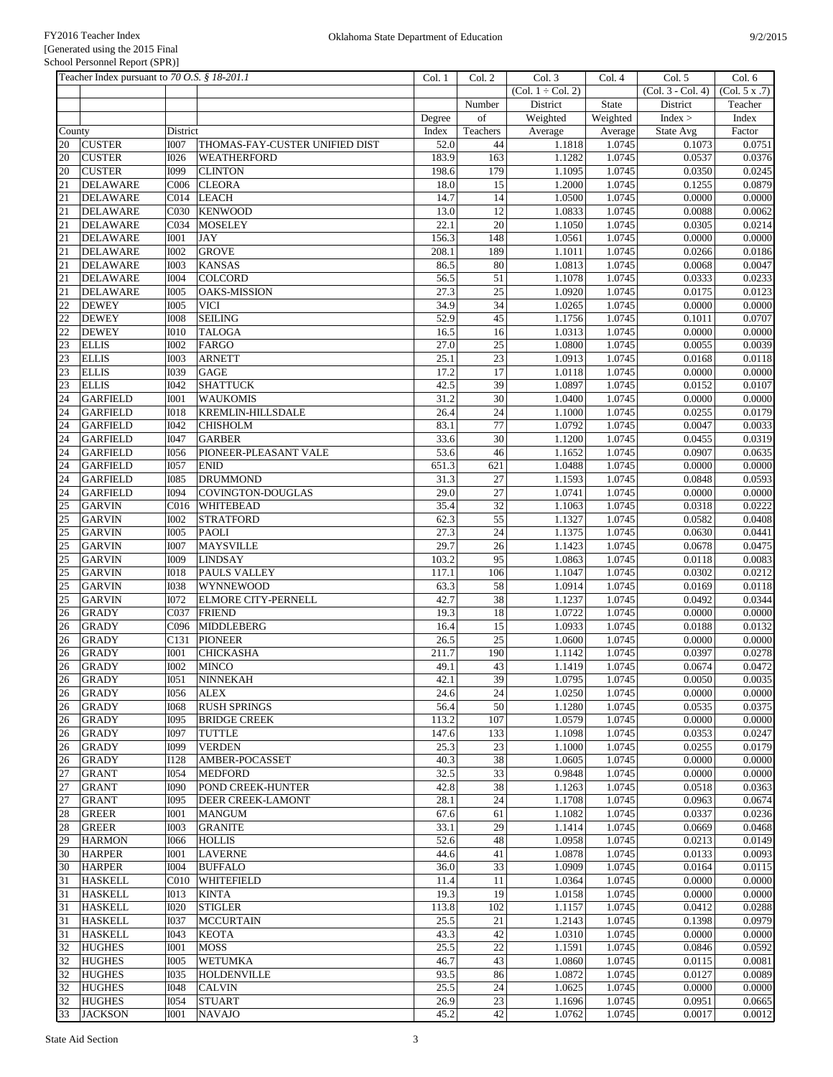| Teacher Index pursuant to 70 O.S. § 18-201.1 |                                 |                            |                                    | Col. 1 | Col. 2          | Col. 3                         | Col.4    | Col. 5            | Col. 6        |
|----------------------------------------------|---------------------------------|----------------------------|------------------------------------|--------|-----------------|--------------------------------|----------|-------------------|---------------|
|                                              |                                 |                            |                                    |        |                 | $\overline{(Col. 1 + Col. 2)}$ |          | (Col. 3 - Col. 4) | (Col. 5 x .7) |
|                                              |                                 |                            |                                    |        | Number          | District                       | State    | District          | Teacher       |
|                                              |                                 |                            |                                    | Degree | of              | Weighted                       | Weighted | Index >           | Index         |
| County                                       |                                 | District                   |                                    | Index  | Teachers        | Average                        | Average  | State Avg         | Factor        |
| 20                                           | <b>CUSTER</b>                   | <b>I007</b>                | THOMAS-FAY-CUSTER UNIFIED DIST     | 52.0   | 44              | 1.1818                         | 1.0745   | 0.1073            | 0.0751        |
| 20                                           | <b>CUSTER</b>                   | <b>I026</b>                | WEATHERFORD                        | 183.9  | 163             | 1.1282                         | 1.0745   | 0.0537            | 0.0376        |
| 20                                           | <b>CUSTER</b>                   | I099                       | <b>CLINTON</b>                     | 198.6  | 179             | 1.1095                         | 1.0745   | 0.0350            | 0.0245        |
| 21                                           | <b>DELAWARE</b>                 | C006                       | <b>CLEORA</b>                      | 18.0   | 15              | 1.2000                         | 1.0745   | 0.1255            | 0.0879        |
| 21                                           | <b>DELAWARE</b>                 | CO14                       | <b>LEACH</b>                       | 14.7   | 14              | 1.0500                         | 1.0745   | 0.0000            | 0.0000        |
| 21                                           | <b>DELAWARE</b>                 | C030                       | <b>KENWOOD</b>                     | 13.0   | 12              | 1.0833                         | 1.0745   | 0.0088            | 0.0062        |
| 21                                           | <b>DELAWARE</b>                 | C034                       | <b>MOSELEY</b>                     | 22.1   | $\overline{20}$ | 1.1050                         | 1.0745   | 0.0305            | 0.0214        |
| 21                                           | <b>DELAWARE</b>                 | <b>I001</b>                | <b>JAY</b>                         | 156.3  | 148             | 1.0561                         | 1.0745   | 0.0000            | 0.0000        |
| 21                                           | <b>DELAWARE</b>                 | <b>I002</b>                | <b>GROVE</b>                       | 208.1  | 189             | 1.1011                         | 1.0745   | 0.0266            | 0.0186        |
| 21                                           | <b>DELAWARE</b>                 | <b>I003</b>                | <b>KANSAS</b>                      | 86.5   | 80              | 1.0813                         | 1.0745   | 0.0068            | 0.0047        |
| 21                                           | <b>DELAWARE</b>                 | I004                       | <b>COLCORD</b>                     | 56.5   | 51              | 1.1078                         | 1.0745   | 0.0333            | 0.0233        |
|                                              |                                 |                            |                                    |        | 25              |                                |          |                   |               |
| 21                                           | <b>DELAWARE</b><br><b>DEWEY</b> | <b>I005</b><br><b>I005</b> | <b>OAKS-MISSION</b><br><b>VICI</b> | 27.3   | $\overline{34}$ | 1.0920<br>1.0265               | 1.0745   | 0.0175<br>0.0000  | 0.0123        |
| 22                                           |                                 |                            |                                    | 34.9   |                 |                                | 1.0745   |                   | 0.0000        |
| $\overline{22}$                              | <b>DEWEY</b>                    | <b>I008</b>                | <b>SEILING</b>                     | 52.9   | 45              | 1.1756                         | 1.0745   | 0.1011            | 0.0707        |
| $\overline{22}$                              | <b>DEWEY</b>                    | <b>I010</b>                | <b>TALOGA</b>                      | 16.5   | 16              | 1.0313                         | 1.0745   | 0.0000            | 0.0000        |
| 23                                           | <b>ELLIS</b>                    | <b>IOO2</b>                | FARGO                              | 27.0   | $\overline{25}$ | 1.0800                         | 1.0745   | 0.0055            | 0.0039        |
| 23                                           | <b>ELLIS</b>                    | <b>I003</b>                | <b>ARNETT</b>                      | 25.1   | 23              | 1.0913                         | 1.0745   | 0.0168            | 0.0118        |
| 23                                           | <b>ELLIS</b>                    | <b>I039</b>                | <b>GAGE</b>                        | 17.2   | 17              | 1.0118                         | 1.0745   | 0.0000            | 0.0000        |
| 23                                           | <b>ELLIS</b>                    | <b>I042</b>                | <b>SHATTUCK</b>                    | 42.5   | 39              | 1.0897                         | 1.0745   | 0.0152            | 0.0107        |
| 24                                           | <b>GARFIELD</b>                 | <b>I001</b>                | <b>WAUKOMIS</b>                    | 31.2   | 30              | 1.0400                         | 1.0745   | 0.0000            | 0.0000        |
| $\overline{24}$                              | <b>GARFIELD</b>                 | $\overline{1018}$          | <b>KREMLIN-HILLSDALE</b>           | 26.4   | $\overline{24}$ | 1.1000                         | 1.0745   | 0.0255            | 0.0179        |
| 24                                           | <b>GARFIELD</b>                 | I042                       | <b>CHISHOLM</b>                    | 83.1   | 77              | 1.0792                         | 1.0745   | 0.0047            | 0.0033        |
| 24                                           | <b>GARFIELD</b>                 | <b>I047</b>                | <b>GARBER</b>                      | 33.6   | 30              | 1.1200                         | 1.0745   | 0.0455            | 0.0319        |
| 24                                           | <b>GARFIELD</b>                 | <b>I056</b>                | PIONEER-PLEASANT VALE              | 53.6   | 46              | 1.1652                         | 1.0745   | 0.0907            | 0.0635        |
| 24                                           | <b>GARFIELD</b>                 | <b>I057</b>                | <b>ENID</b>                        | 651.3  | 621             | 1.0488                         | 1.0745   | 0.0000            | 0.0000        |
| 24                                           | <b>GARFIELD</b>                 | <b>I085</b>                | <b>DRUMMOND</b>                    | 31.3   | $27\,$          | 1.1593                         | 1.0745   | 0.0848            | 0.0593        |
| 24                                           | <b>GARFIELD</b>                 | <b>I094</b>                | COVINGTON-DOUGLAS                  | 29.0   | $\overline{27}$ | 1.0741                         | 1.0745   | 0.0000            | 0.0000        |
| 25                                           | <b>GARVIN</b>                   | C <sub>016</sub>           | <b>WHITEBEAD</b>                   | 35.4   | 32              | 1.1063                         | 1.0745   | 0.0318            | 0.0222        |
| $\overline{25}$                              | <b>GARVIN</b>                   | I002                       | <b>STRATFORD</b>                   | 62.3   | 55              | 1.1327                         | 1.0745   | 0.0582            | 0.0408        |
| 25                                           | <b>GARVIN</b>                   | <b>I005</b>                | <b>PAOLI</b>                       | 27.3   | $\overline{24}$ | 1.1375                         | 1.0745   | 0.0630            | 0.0441        |
|                                              |                                 |                            |                                    | 29.7   |                 |                                |          |                   |               |
| $\overline{25}$                              | <b>GARVIN</b>                   | <b>I007</b>                | <b>MAYSVILLE</b>                   |        | 26<br>95        | 1.1423                         | 1.0745   | 0.0678            | 0.0475        |
| 25                                           | <b>GARVIN</b>                   | <b>I009</b>                | <b>LINDSAY</b>                     | 103.2  |                 | 1.0863                         | 1.0745   | 0.0118            | 0.0083        |
| 25                                           | <b>GARVIN</b>                   | <b>IO18</b>                | <b>PAULS VALLEY</b>                | 117.1  | 106             | 1.1047                         | 1.0745   | 0.0302            | 0.0212        |
| $\overline{25}$                              | <b>GARVIN</b>                   | <b>I038</b>                | WYNNEWOOD                          | 63.3   | 58              | 1.0914                         | 1.0745   | 0.0169            | 0.0118        |
| 25                                           | <b>GARVIN</b>                   | <b>I072</b>                | <b>ELMORE CITY-PERNELL</b>         | 42.7   | 38              | 1.1237                         | 1.0745   | 0.0492            | 0.0344        |
| 26                                           | <b>GRADY</b>                    | C037                       | <b>FRIEND</b>                      | 19.3   | 18              | 1.0722                         | 1.0745   | 0.0000            | 0.0000        |
| 26                                           | <b>GRADY</b>                    | C096                       | <b>MIDDLEBERG</b>                  | 16.4   | 15              | 1.0933                         | 1.0745   | 0.0188            | 0.0132        |
| 26                                           | <b>GRADY</b>                    | C131                       | <b>PIONEER</b>                     | 26.5   | 25              | 1.0600                         | 1.0745   | 0.0000            | 0.0000        |
| 26                                           | <b>GRADY</b>                    | <b>I001</b>                | <b>CHICKASHA</b>                   | 211.7  | 190             | 1.1142                         | 1.0745   | 0.0397            | 0.0278        |
| 26                                           | <b>GRADY</b>                    | <b>I002</b>                | <b>MINCO</b>                       | 49.1   | 43              | 1.1419                         | 1.0745   | 0.0674            | 0.0472        |
| 26                                           | <b>GRADY</b>                    | I051                       | NINNEKAH                           | 42.1   | 39              | 1.0795                         | 1.0745   | 0.0050            | 0.0035        |
| 26                                           | <b>GRADY</b>                    | I056                       | <b>ALEX</b>                        | 24.6   | 24              | 1.0250                         | 1.0745   | 0.0000            | 0.0000        |
| 26                                           | <b>GRADY</b>                    | <b>I068</b>                | <b>RUSH SPRINGS</b>                | 56.4   | 50              | 1.1280                         | 1.0745   | 0.0535            | 0.0375        |
| 26                                           | <b>GRADY</b>                    | <b>I095</b>                | <b>BRIDGE CREEK</b>                | 113.2  | 107             | 1.0579                         | 1.0745   | 0.0000            | 0.0000        |
| 26                                           | <b>GRADY</b>                    | <b>I097</b>                | <b>TUTTLE</b>                      | 147.6  | 133             | 1.1098                         | 1.0745   | 0.0353            | 0.0247        |
| 26                                           | <b>GRADY</b>                    | I099                       | <b>VERDEN</b>                      | 25.3   | 23              | 1.1000                         | 1.0745   | 0.0255            | 0.0179        |
| 26                                           | <b>GRADY</b>                    | I128                       | AMBER-POCASSET                     | 40.3   | 38              | 1.0605                         | 1.0745   | 0.0000            | 0.0000        |
| 27                                           | <b>GRANT</b>                    | <b>I054</b>                | <b>MEDFORD</b>                     | 32.5   | 33              | 0.9848                         | 1.0745   | 0.0000            | 0.0000        |
| 27                                           | <b>GRANT</b>                    | <b>I090</b>                | <b>POND CREEK-HUNTER</b>           | 42.8   | 38              | 1.1263                         | 1.0745   | 0.0518            | 0.0363        |
| 27                                           | <b>GRANT</b>                    | <b>I095</b>                | <b>DEER CREEK-LAMONT</b>           | 28.1   | 24              | 1.1708                         | 1.0745   | 0.0963            | 0.0674        |
| 28                                           | <b>GREER</b>                    | <b>I001</b>                | <b>MANGUM</b>                      | 67.6   | 61              | 1.1082                         | 1.0745   | 0.0337            | 0.0236        |
| 28                                           | <b>GREER</b>                    | <b>IOO3</b>                | <b>GRANITE</b>                     | 33.1   | 29              | 1.1414                         | 1.0745   | 0.0669            | 0.0468        |
| 29                                           | <b>HARMON</b>                   | <b>I066</b>                | <b>HOLLIS</b>                      | 52.6   | 48              | 1.0958                         | 1.0745   | 0.0213            | 0.0149        |
|                                              |                                 |                            |                                    |        |                 |                                |          |                   |               |
| 30                                           | <b>HARPER</b>                   | <b>I001</b>                | <b>LAVERNE</b>                     | 44.6   | 41              | 1.0878                         | 1.0745   | 0.0133            | 0.0093        |
| 30                                           | <b>HARPER</b>                   | <b>I004</b>                | <b>BUFFALO</b>                     | 36.0   | 33              | 1.0909                         | 1.0745   | 0.0164            | 0.0115        |
| 31                                           | <b>HASKELL</b>                  | C010                       | <b>WHITEFIELD</b>                  | 11.4   | 11              | 1.0364                         | 1.0745   | 0.0000            | 0.0000        |
| 31                                           | <b>HASKELL</b>                  | <b>IO13</b>                | <b>KINTA</b>                       | 19.3   | 19              | 1.0158                         | 1.0745   | 0.0000            | 0.0000        |
| 31                                           | <b>HASKELL</b>                  | <b>I020</b>                | <b>STIGLER</b>                     | 113.8  | 102             | 1.1157                         | 1.0745   | 0.0412            | 0.0288        |
| 31                                           | <b>HASKELL</b>                  | <b>I037</b>                | <b>MCCURTAIN</b>                   | 25.5   | 21              | 1.2143                         | 1.0745   | 0.1398            | 0.0979        |
| 31                                           | <b>HASKELL</b>                  | I043                       | <b>KEOTA</b>                       | 43.3   | 42              | 1.0310                         | 1.0745   | 0.0000            | 0.0000        |
| 32                                           | <b>HUGHES</b>                   | <b>I001</b>                | <b>MOSS</b>                        | 25.5   | 22              | 1.1591                         | 1.0745   | 0.0846            | 0.0592        |
| 32                                           | <b>HUGHES</b>                   | <b>IOO5</b>                | <b>WETUMKA</b>                     | 46.7   | 43              | 1.0860                         | 1.0745   | 0.0115            | 0.0081        |
| 32                                           | <b>HUGHES</b>                   | I035                       | <b>HOLDENVILLE</b>                 | 93.5   | 86              | 1.0872                         | 1.0745   | 0.0127            | 0.0089        |
| 32                                           | <b>HUGHES</b>                   | I048                       | <b>CALVIN</b>                      | 25.5   | 24              | 1.0625                         | 1.0745   | 0.0000            | 0.0000        |
| 32                                           | <b>HUGHES</b>                   | <b>I054</b>                | <b>STUART</b>                      | 26.9   | $23\,$          | 1.1696                         | 1.0745   | 0.0951            | 0.0665        |
| 33                                           | <b>JACKSON</b>                  | <b>IOO1</b>                | <b>NAVAJO</b>                      | 45.2   | 42              | 1.0762                         | 1.0745   | 0.0017            | 0.0012        |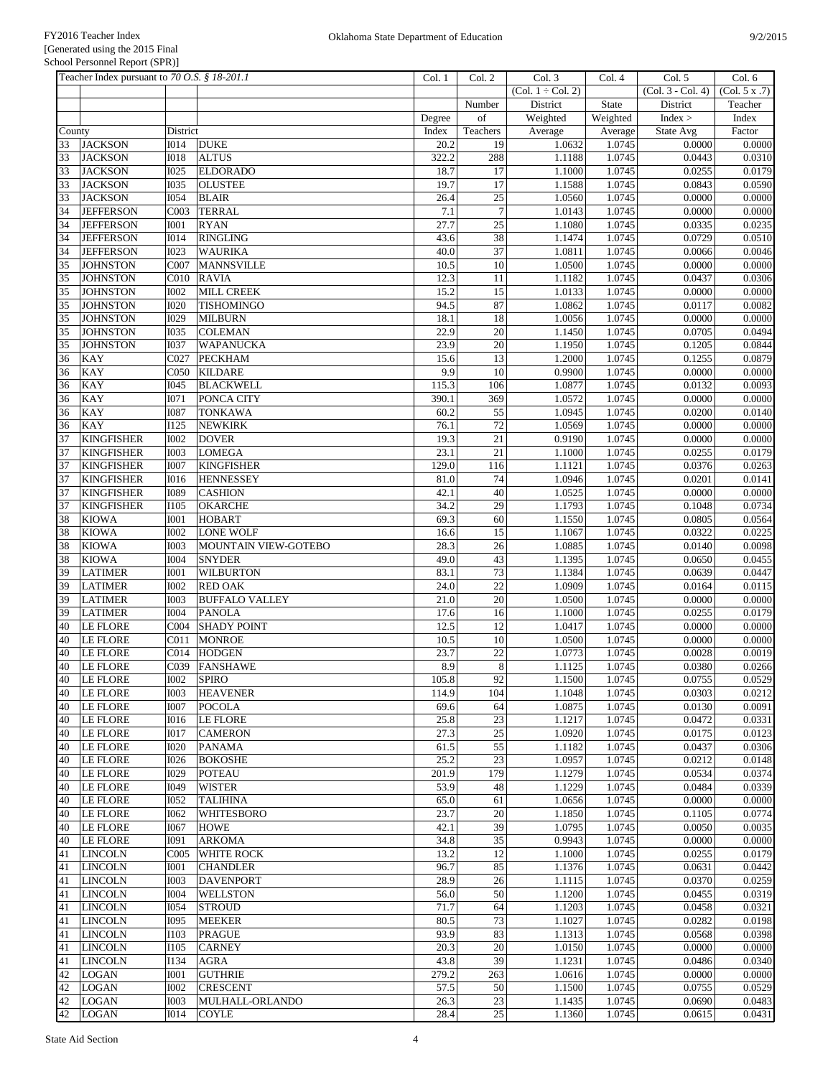|          | Teacher Index pursuant to 70 O.S. § 18-201.1 |                            |                                     | Col. 1        | Col. 2           | Col. 3              | Col. 4           | Col. 5              | Col. 6           |
|----------|----------------------------------------------|----------------------------|-------------------------------------|---------------|------------------|---------------------|------------------|---------------------|------------------|
|          |                                              |                            |                                     |               |                  | $(Col. 1 + Col. 2)$ |                  | $(Col. 3 - Col. 4)$ | (Col. 5 x .7)    |
|          |                                              |                            |                                     |               | Number           | District            | State            | District            | Teacher          |
|          |                                              |                            |                                     | Degree        | of               | Weighted            | Weighted         | Index >             | Index            |
| County   |                                              | District                   |                                     | Index         | Teachers         | Average             | Average          | State Avg           | Factor           |
| 33       | <b>JACKSON</b>                               | $\overline{1014}$          | <b>DUKE</b>                         | 20.2          | 19               | 1.0632              | 1.0745           | 0.0000              | 0.0000           |
| 33       | <b>JACKSON</b>                               | <b>I018</b>                | <b>ALTUS</b>                        | 322.2         | 288              | 1.1188              | 1.0745           | 0.0443              | 0.0310           |
| 33       | <b>JACKSON</b>                               | <b>I025</b>                | <b>ELDORADO</b>                     | 18.7          | 17               | 1.1000              | 1.0745           | 0.0255              | 0.0179           |
| 33       | <b>JACKSON</b>                               | <b>I035</b>                | <b>OLUSTEE</b>                      | 19.7          | 17               | 1.1588              | 1.0745           | 0.0843              | 0.0590           |
| 33       | <b>JACKSON</b>                               | <b>I054</b>                | <b>BLAIR</b>                        | 26.4          | $\overline{25}$  | 1.0560              | 1.0745           | 0.0000              | 0.0000           |
| 34       | <b>JEFFERSON</b>                             | C003                       | <b>TERRAL</b>                       | 7.1           | $\boldsymbol{7}$ | 1.0143              | 1.0745           | 0.0000              | 0.0000           |
| 34       | <b>JEFFERSON</b>                             | <b>IOO1</b>                | <b>RYAN</b>                         | 27.7          | $\overline{25}$  | 1.1080              | 1.0745           | 0.0335              | 0.0235           |
| 34       | <b>JEFFERSON</b>                             | <b>I014</b>                | <b>RINGLING</b>                     | 43.6          | 38               | 1.1474              | 1.0745           | 0.0729              | 0.0510           |
| 34       | <b>JEFFERSON</b>                             | <b>I023</b>                | <b>WAURIKA</b>                      | 40.0          | 37               | 1.0811              | 1.0745           | 0.0066              | 0.0046           |
| 35       | <b>JOHNSTON</b>                              | $\overline{CO07}$          | <b>MANNSVILLE</b>                   | 10.5          | 10               | 1.0500              | 1.0745           | 0.0000              | 0.0000           |
| 35       | <b>JOHNSTON</b>                              | C <sub>010</sub>           | <b>RAVIA</b>                        | 12.3          | 11               | 1.1182              | 1.0745           | 0.0437              | 0.0306           |
| 35       | <b>JOHNSTON</b>                              | <b>I002</b>                | MILL CREEK                          | 15.2          | 15               | 1.0133              | 1.0745           | 0.0000              | 0.0000           |
| 35       | <b>JOHNSTON</b>                              | <b>I020</b>                | <b>TISHOMINGO</b>                   | 94.5          | 87               | 1.0862              | 1.0745           | 0.0117              | 0.0082           |
| 35       | <b>JOHNSTON</b>                              | <b>I029</b>                | <b>MILBURN</b>                      | 18.1          | 18               | 1.0056              | 1.0745           | 0.0000              | 0.0000           |
| 35       | <b>JOHNSTON</b>                              | <b>I035</b>                | <b>COLEMAN</b>                      | 22.9          | $20\,$           | 1.1450              | 1.0745           | 0.0705              | 0.0494           |
| 35       | <b>JOHNSTON</b>                              | <b>I037</b>                | <b>WAPANUCKA</b>                    | 23.9          | $\overline{20}$  | 1.1950              | 1.0745           | 0.1205              | 0.0844           |
| 36       | <b>KAY</b>                                   | C027                       | <b>PECKHAM</b>                      | 15.6          | 13               | 1.2000              | 1.0745           | 0.1255              | 0.0879           |
| 36       | <b>KAY</b>                                   | C050                       | <b>KILDARE</b>                      | 9.9           | 10               | 0.9900              | 1.0745           | 0.0000              | 0.0000           |
| 36       | <b>KAY</b>                                   | <b>I045</b>                | <b>BLACKWELL</b>                    | 115.3         | 106              | 1.0877              | 1.0745           | 0.0132              | 0.0093           |
| 36       | <b>KAY</b>                                   | <b>I071</b>                | PONCA CITY                          | 390.1         | 369              | 1.0572              | 1.0745           | 0.0000              | 0.0000           |
| 36       | <b>KAY</b>                                   | <b>I087</b>                | <b>TONKAWA</b>                      | 60.2          | $\overline{55}$  | 1.0945              | 1.0745           | 0.0200              | 0.0140           |
| 36       | <b>KAY</b>                                   | I125                       | <b>NEWKIRK</b>                      | 76.1          | 72               | 1.0569              | 1.0745           | 0.0000              | 0.0000           |
| 37       | <b>KINGFISHER</b>                            | <b>I002</b>                | <b>DOVER</b>                        | 19.3          | 21               | 0.9190              | 1.0745           | 0.0000              | 0.0000           |
| 37       | <b>KINGFISHER</b>                            | <b>I003</b>                | <b>LOMEGA</b>                       | 23.1          | $\overline{21}$  | 1.1000              | 1.0745           | 0.0255              | 0.0179           |
| 37       | <b>KINGFISHER</b>                            | <b>I007</b>                | <b>KINGFISHER</b>                   | 129.0         | 116              | 1.1121              | 1.0745           | 0.0376              | 0.0263           |
| 37       | <b>KINGFISHER</b>                            | <b>I016</b>                | <b>HENNESSEY</b>                    | 81.0          | 74               | 1.0946              | 1.0745           | 0.0201              | 0.0141           |
| 37       | <b>KINGFISHER</b>                            | <b>I089</b>                | <b>CASHION</b>                      | 42.1          | 40               | 1.0525              | 1.0745           | 0.0000              | 0.0000           |
| 37       | <b>KINGFISHER</b>                            | <b>I105</b>                | <b>OKARCHE</b>                      | 34.2          | 29               | 1.1793              | 1.0745           | 0.1048              | 0.0734           |
| 38       | <b>KIOWA</b>                                 | I001                       | <b>HOBART</b>                       | 69.3          | 60               | 1.1550              | 1.0745           | 0.0805              | 0.0564           |
| 38       | <b>KIOWA</b>                                 | <b>I002</b>                | <b>LONE WOLF</b>                    | 16.6          | $\overline{15}$  | 1.1067              | 1.0745           | 0.0322              | 0.0225           |
| 38       | <b>KIOWA</b>                                 | <b>I003</b>                | MOUNTAIN VIEW-GOTEBO                | 28.3          | 26               | 1.0885              | 1.0745           | 0.0140              | 0.0098           |
| 38       | <b>KIOWA</b>                                 | <b>I004</b>                | <b>SNYDER</b>                       | 49.0          | 43               | 1.1395              | 1.0745           | 0.0650              | 0.0455           |
| 39       | <b>LATIMER</b>                               | <b>IOO1</b>                | <b>WILBURTON</b>                    | 83.1          | 73               | 1.1384              | 1.0745           | 0.0639              | 0.0447           |
| 39       | <b>LATIMER</b>                               | <b>I002</b>                | <b>RED OAK</b>                      | 24.0          | 22               | 1.0909              | 1.0745           | 0.0164              | 0.0115           |
| 39       | <b>LATIMER</b>                               | <b>I003</b>                | <b>BUFFALO VALLEY</b>               | 21.0          | 20               | 1.0500              | 1.0745           | 0.0000              | 0.0000           |
| 39       | <b>LATIMER</b>                               | <b>I004</b>                | <b>PANOLA</b>                       | 17.6          | 16               | 1.1000              | 1.0745           | 0.0255              | 0.0179           |
| 40       | <b>LE FLORE</b>                              | CO <sub>04</sub>           | <b>SHADY POINT</b>                  | 12.5          | 12               | 1.0417              | 1.0745           | 0.0000              | 0.0000           |
| 40       | <b>LE FLORE</b>                              | C <sub>011</sub>           | <b>MONROE</b>                       | 10.5          | $\overline{10}$  | 1.0500              | 1.0745           | 0.0000              | 0.0000           |
| 40       | <b>LE FLORE</b>                              | CO14                       | <b>HODGEN</b>                       | 23.7          | $\overline{22}$  | 1.0773              | 1.0745           | 0.0028              | 0.0019           |
| 40       | <b>LE FLORE</b>                              | C039                       | <b>FANSHAWE</b>                     | 8.9           | $\,8\,$          | 1.1125              | 1.0745           | 0.0380              | 0.0266           |
| 40       | LE FLORE                                     | I002                       | <b>SPIRO</b>                        | 105.8         | 92               | 1.1500              | 1.0745           | 0.0755              | 0.0529           |
| 40       | <b>LE FLORE</b>                              | <b>IOO3</b>                | <b>HEAVENER</b>                     | 114.9         | 104              | 1.1048              | 1.0745           | 0.0303              | 0.0212           |
| 40       | LE FLORE                                     | <b>I007</b>                | <b>POCOLA</b>                       | 69.6          | 64               | 1.0875              | 1.0745           | 0.0130              | 0.0091           |
| 40       | <b>LE FLORE</b>                              | <b>I016</b>                | <b>LE FLORE</b>                     | 25.8          | 23               | 1.1217              | 1.0745           | 0.0472              | 0.0331           |
| 40       | <b>LE FLORE</b>                              | <b>IO17</b>                | <b>CAMERON</b>                      | 27.3          | 25               | 1.0920              | 1.0745           | 0.0175              | 0.0123           |
| 40       | LE FLORE                                     | <b>I020</b>                | <b>PANAMA</b>                       | 61.5          | 55               | 1.1182              | 1.0745           | 0.0437              | 0.0306           |
| 40       | LE FLORE<br><b>LE FLORE</b>                  | <b>I026</b>                | <b>BOKOSHE</b><br><b>POTEAU</b>     | 25.2          | 23<br>179        | 1.0957<br>1.1279    | 1.0745<br>1.0745 | 0.0212              | 0.0148           |
| 40<br>40 | <b>LE FLORE</b>                              | I029<br>I049               | <b>WISTER</b>                       | 201.9<br>53.9 | 48               | 1.1229              | 1.0745           | 0.0534<br>0.0484    | 0.0374<br>0.0339 |
|          | <b>LE FLORE</b>                              |                            | <b>TALIHINA</b>                     | 65.0          | 61               | 1.0656              | 1.0745           | 0.0000              | 0.0000           |
| 40       | LE FLORE                                     | I052<br><b>I062</b>        | <b>WHITESBORO</b>                   | 23.7          | 20               | 1.1850              | 1.0745           | 0.1105              | 0.0774           |
| 40<br>40 | <b>LE FLORE</b>                              | <b>I067</b>                | <b>HOWE</b>                         | 42.1          | 39               | 1.0795              | 1.0745           | 0.0050              | 0.0035           |
| 40       | <b>LE FLORE</b>                              | <b>I091</b>                | <b>ARKOMA</b>                       | 34.8          | 35               | 0.9943              | 1.0745           | 0.0000              | 0.0000           |
|          | <b>LINCOLN</b>                               | C <sub>005</sub>           | <b>WHITE ROCK</b>                   | 13.2          | 12               | 1.1000              | 1.0745           | 0.0255              | 0.0179           |
| 41       |                                              |                            |                                     |               |                  |                     |                  |                     |                  |
| 41<br>41 | <b>LINCOLN</b><br><b>LINCOLN</b>             | <b>IOO1</b><br><b>IOO3</b> | <b>CHANDLER</b><br><b>DAVENPORT</b> | 96.7<br>28.9  | 85<br>26         | 1.1376              | 1.0745<br>1.0745 | 0.0631<br>0.0370    | 0.0442<br>0.0259 |
|          | <b>LINCOLN</b>                               | <b>I004</b>                | <b>WELLSTON</b>                     | 56.0          | 50               | 1.1115<br>1.1200    | 1.0745           | 0.0455              | 0.0319           |
| 41       |                                              | <b>I054</b>                |                                     |               |                  |                     |                  | 0.0458              |                  |
| 41       | <b>LINCOLN</b>                               |                            | <b>STROUD</b>                       | 71.7          | 64               | 1.1203              | 1.0745           |                     | 0.0321           |
| 41       | <b>LINCOLN</b><br><b>LINCOLN</b>             | I095<br>I103               | <b>MEEKER</b><br><b>PRAGUE</b>      | 80.5<br>93.9  | 73<br>83         | 1.1027<br>1.1313    | 1.0745<br>1.0745 | 0.0282<br>0.0568    | 0.0198<br>0.0398 |
| 41<br>41 | <b>LINCOLN</b>                               | I105                       | <b>CARNEY</b>                       | 20.3          | 20               | 1.0150              | 1.0745           | 0.0000              | 0.0000           |
|          |                                              | <b>I134</b>                |                                     |               | 39               | 1.1231              | 1.0745           | 0.0486              | 0.0340           |
| 41<br>42 | <b>LINCOLN</b><br><b>LOGAN</b>               | <b>IOO1</b>                | <b>AGRA</b><br><b>GUTHRIE</b>       | 43.8<br>279.2 | 263              | 1.0616              | 1.0745           | 0.0000              | 0.0000           |
| 42       | <b>LOGAN</b>                                 | <b>I002</b>                | <b>CRESCENT</b>                     | 57.5          | 50               | 1.1500              | 1.0745           | 0.0755              | 0.0529           |
| 42       | <b>LOGAN</b>                                 | <b>IOO3</b>                | MULHALL-ORLANDO                     | 26.3          | 23               | 1.1435              | 1.0745           | 0.0690              | 0.0483           |
| 42       | <b>LOGAN</b>                                 | <b>IO14</b>                | <b>COYLE</b>                        | 28.4          | 25               | 1.1360              | 1.0745           | 0.0615              | 0.0431           |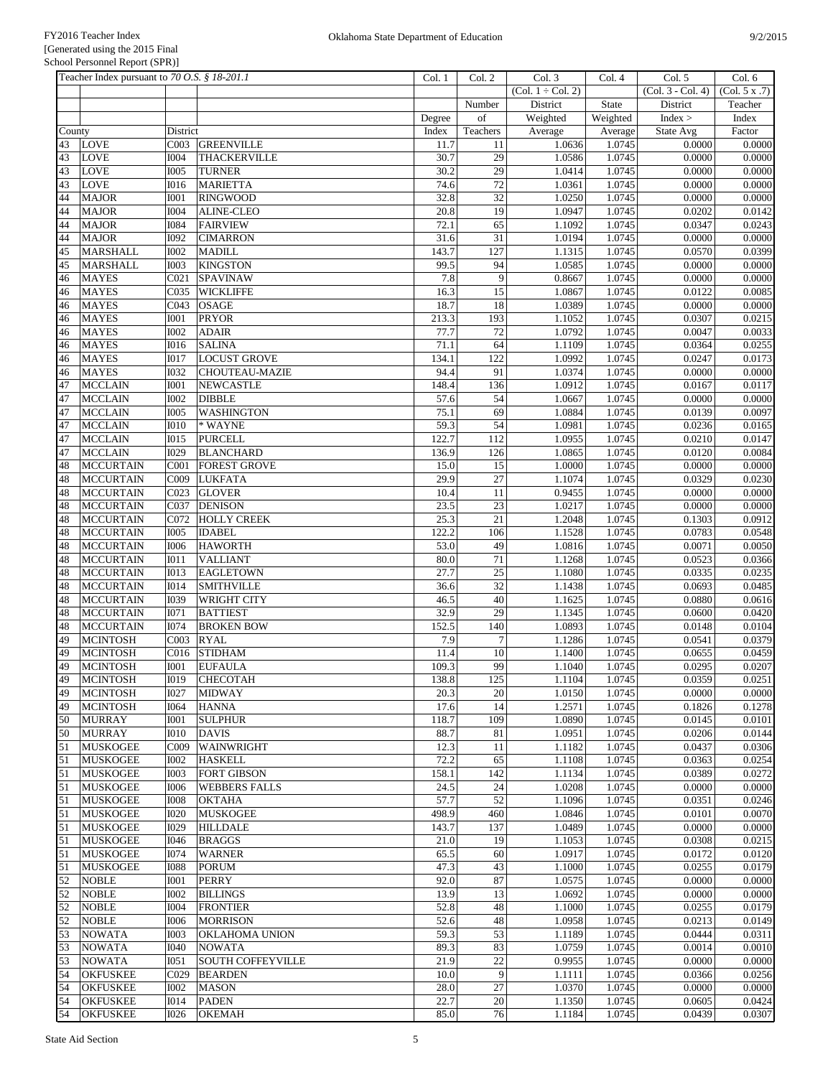|          | Teacher Index pursuant to 70 O.S. § 18-201.1 |                            |                                           | Col. 1        | Col. 2          | Col. 3              | Col. 4           | Col. 5            | Col. 6           |
|----------|----------------------------------------------|----------------------------|-------------------------------------------|---------------|-----------------|---------------------|------------------|-------------------|------------------|
|          |                                              |                            |                                           |               |                 | $(Col. 1 + Col. 2)$ |                  | (Col. 3 - Col. 4) | (Col. 5 x .7)    |
|          |                                              |                            |                                           |               | Number          | District            | <b>State</b>     | District          | Teacher          |
|          |                                              |                            |                                           | Degree        | of              | Weighted            | Weighted         | Index >           | Index            |
| County   |                                              | District                   |                                           | Index         | Teachers        | Average             | Average          | State Avg         | Factor           |
| 43       | <b>LOVE</b>                                  | C003                       | <b>GREENVILLE</b>                         | 11.7          | 11              | 1.0636              | 1.0745           | 0.0000            | 0.0000           |
| 43       | <b>LOVE</b>                                  | <b>I004</b>                | <b>THACKERVILLE</b>                       | 30.7          | 29              | 1.0586              | 1.0745           | 0.0000            | 0.0000           |
| 43       | <b>LOVE</b>                                  | <b>I005</b>                | <b>TURNER</b>                             | 30.2          | 29              | 1.0414              | 1.0745           | 0.0000            | 0.0000           |
| 43       | <b>LOVE</b>                                  | <b>I016</b>                | <b>MARIETTA</b>                           | 74.6          | 72              | 1.0361              | 1.0745           | 0.0000            | 0.0000           |
| 44       | <b>MAJOR</b>                                 | <b>I001</b>                | <b>RINGWOOD</b>                           | 32.8          | 32              | 1.0250              | 1.0745           | 0.0000            | 0.0000           |
| 44       | <b>MAJOR</b>                                 | <b>I004</b>                | ALINE-CLEO                                | 20.8          | 19              | 1.0947              | 1.0745           | 0.0202            | 0.0142           |
| 44       | <b>MAJOR</b>                                 | <b>I084</b>                | <b>FAIRVIEW</b>                           | 72.1          | 65              | 1.1092              | 1.0745           | 0.0347            | 0.0243           |
| 44       | <b>MAJOR</b>                                 | <b>I092</b>                | <b>CIMARRON</b>                           | 31.6          | 31              | 1.0194              | 1.0745           | 0.0000            | 0.0000           |
| 45       | <b>MARSHALL</b>                              | <b>I002</b>                | <b>MADILL</b>                             | 143.7         | 127             | 1.1315              | 1.0745           | 0.0570            | 0.0399           |
| 45       | <b>MARSHALL</b>                              | <b>I003</b>                | <b>KINGSTON</b>                           | 99.5          | 94              | 1.0585              | 1.0745           | 0.0000            | 0.0000           |
| 46       | <b>MAYES</b>                                 | CO21                       | <b>SPAVINAW</b>                           | 7.8           | 9               | 0.8667              | 1.0745           | 0.0000            | 0.0000           |
| 46       | <b>MAYES</b>                                 | C035                       | <b>WICKLIFFE</b>                          | 16.3          | 15              | 1.0867              | 1.0745           | 0.0122            | 0.0085           |
| 46       | <b>MAYES</b>                                 | C043                       | <b>OSAGE</b>                              | 18.7          | 18              | 1.0389              | 1.0745           | 0.0000            | 0.0000           |
| 46       | <b>MAYES</b>                                 | <b>I001</b>                | <b>PRYOR</b>                              | 213.3         | 193             | 1.1052              | 1.0745           | 0.0307            | 0.0215           |
| 46       | <b>MAYES</b>                                 | <b>I002</b>                | <b>ADAIR</b>                              | 77.7          | 72              | 1.0792              | 1.0745           | 0.0047            | 0.0033           |
| 46       | <b>MAYES</b>                                 | <b>I016</b>                | <b>SALINA</b>                             | 71.1          | 64              | 1.1109              | 1.0745           | 0.0364            | 0.0255           |
| 46       | <b>MAYES</b>                                 | <b>IO17</b>                | <b>LOCUST GROVE</b>                       | 134.1<br>94.4 | 122             | 1.0992              | 1.0745           | 0.0247            | 0.0173           |
| 46<br>47 | <b>MAYES</b><br><b>MCCLAIN</b>               | <b>I032</b><br><b>I001</b> | <b>CHOUTEAU-MAZIE</b><br><b>NEWCASTLE</b> | 148.4         | 91<br>136       | 1.0374<br>1.0912    | 1.0745<br>1.0745 | 0.0000<br>0.0167  | 0.0000<br>0.0117 |
| 47       | <b>MCCLAIN</b>                               | <b>I002</b>                | <b>DIBBLE</b>                             | 57.6          | 54              | 1.0667              | 1.0745           | 0.0000            | 0.0000           |
| 47       | <b>MCCLAIN</b>                               | <b>I005</b>                |                                           | 75.1          | 69              | 1.0884              | 1.0745           | 0.0139            | 0.0097           |
| 47       | <b>MCCLAIN</b>                               | I010                       | <b>WASHINGTON</b><br>* WAYNE              | 59.3          | 54              | 1.0981              | 1.0745           | 0.0236            | 0.0165           |
| 47       | <b>MCCLAIN</b>                               | I015                       | <b>PURCELL</b>                            | 122.7         | 112             | 1.0955              | 1.0745           | 0.0210            | 0.0147           |
| 47       | <b>MCCLAIN</b>                               | I029                       | <b>BLANCHARD</b>                          | 136.9         | 126             | 1.0865              | 1.0745           | 0.0120            | 0.0084           |
| 48       | <b>MCCURTAIN</b>                             | C <sub>001</sub>           | <b>FOREST GROVE</b>                       | 15.0          | 15              | 1.0000              | 1.0745           | 0.0000            | 0.0000           |
| 48       | <b>MCCURTAIN</b>                             | COO9                       | <b>LUKFATA</b>                            | 29.9          | $27\,$          | 1.1074              | 1.0745           | 0.0329            | 0.0230           |
| 48       | <b>MCCURTAIN</b>                             | C023                       | <b>GLOVER</b>                             | 10.4          | 11              | 0.9455              | 1.0745           | 0.0000            | 0.0000           |
| 48       | <b>MCCURTAIN</b>                             | C037                       | <b>DENISON</b>                            | 23.5          | $23\,$          | 1.0217              | 1.0745           | 0.0000            | 0.0000           |
| 48       | <b>MCCURTAIN</b>                             | C072                       | <b>HOLLY CREEK</b>                        | 25.3          | 21              | 1.2048              | 1.0745           | 0.1303            | 0.0912           |
| 48       | <b>MCCURTAIN</b>                             | <b>I005</b>                | <b>IDABEL</b>                             | 122.2         | 106             | 1.1528              | 1.0745           | 0.0783            | 0.0548           |
| 48       | <b>MCCURTAIN</b>                             | <b>I006</b>                | <b>HAWORTH</b>                            | 53.0          | 49              | 1.0816              | 1.0745           | 0.0071            | 0.0050           |
| 48       | <b>MCCURTAIN</b>                             | <b>IO11</b>                | <b>VALLIANT</b>                           | 80.0          | 71              | 1.1268              | 1.0745           | 0.0523            | 0.0366           |
| 48       | <b>MCCURTAIN</b>                             | <b>IO13</b>                | <b>EAGLETOWN</b>                          | 27.7          | $\overline{25}$ | 1.1080              | 1.0745           | 0.0335            | 0.0235           |
| 48       | <b>MCCURTAIN</b>                             | <b>I014</b>                | <b>SMITHVILLE</b>                         | 36.6          | $\overline{32}$ | 1.1438              | 1.0745           | 0.0693            | 0.0485           |
| 48       | <b>MCCURTAIN</b>                             | <b>I039</b>                | <b>WRIGHT CITY</b>                        | 46.5          | 40              | 1.1625              | 1.0745           | 0.0880            | 0.0616           |
| 48       | <b>MCCURTAIN</b>                             | <b>I071</b>                | <b>BATTIEST</b>                           | 32.9          | 29              | 1.1345              | 1.0745           | 0.0600            | 0.0420           |
| 48       | <b>MCCURTAIN</b>                             | <b>I074</b>                | <b>BROKEN BOW</b>                         | 152.5         | 140             | 1.0893              | 1.0745           | 0.0148            | 0.0104           |
| 49       | <b>MCINTOSH</b>                              | C003                       | <b>RYAL</b>                               | 7.9           | $\overline{7}$  | 1.1286              | 1.0745           | 0.0541            | 0.0379           |
| 49       | <b>MCINTOSH</b>                              | C016                       | <b>STIDHAM</b>                            | 11.4          | 10              | 1.1400              | 1.0745           | 0.0655            | 0.0459           |
| 49       | <b>MCINTOSH</b>                              | <b>IOO1</b>                | <b>EUFAULA</b>                            | 109.3         | 99              | 1.1040              | 1.0745           | 0.0295            | 0.0207           |
| 49       | <b>MCINTOSH</b>                              |                            | I019 CHECOTAH                             | 138.8         | 125             | 1.1104              | 1.0745           | 0.0359            | 0.0251           |
| 49       | <b>MCINTOSH</b>                              | <b>I027</b>                | <b>MIDWAY</b>                             | 20.3          | 20              | 1.0150              | 1.0745           | 0.0000            | 0.0000           |
| 49       | <b>MCINTOSH</b>                              | I064                       | <b>HANNA</b>                              | 17.6          | 14              | 1.2571              | 1.0745           | 0.1826            | 0.1278           |
| 50       | <b>MURRAY</b>                                | <b>IOO1</b>                | <b>SULPHUR</b>                            | 118.7         | 109             | 1.0890              | 1.0745           | 0.0145            | 0.0101           |
| 50       | <b>MURRAY</b>                                | <b>IO10</b>                | <b>DAVIS</b>                              | 88.7          | 81              | 1.0951              | 1.0745           | 0.0206            | 0.0144           |
| 51       | <b>MUSKOGEE</b>                              | C <sub>009</sub>           | WAINWRIGHT                                | 12.3          | 11              | 1.1182              | 1.0745           | 0.0437            | 0.0306           |
| 51       | <b>MUSKOGEE</b>                              | <b>I002</b>                | <b>HASKELL</b>                            | 72.2          | 65              | 1.1108              | 1.0745           | 0.0363            | 0.0254           |
| 51       | <b>MUSKOGEE</b>                              | <b>I003</b>                | <b>FORT GIBSON</b>                        | 158.1         | 142             | 1.1134              | 1.0745           | 0.0389            | 0.0272           |
| 51       | <b>MUSKOGEE</b>                              | <b>I006</b>                | <b>WEBBERS FALLS</b>                      | 24.5          | $24\,$          | 1.0208              | 1.0745           | 0.0000            | 0.0000           |
| 51       | <b>MUSKOGEE</b>                              | <b>IOO8</b>                | <b>OKTAHA</b>                             | 57.7          | 52              | 1.1096              | 1.0745           | 0.0351            | 0.0246           |
| 51       | <b>MUSKOGEE</b>                              | <b>I020</b>                | <b>MUSKOGEE</b>                           | 498.9         | 460             | 1.0846              | 1.0745           | 0.0101            | 0.0070           |
| 51       | <b>MUSKOGEE</b>                              | <b>I029</b>                | <b>HILLDALE</b>                           | 143.7         | 137             | 1.0489              | 1.0745           | 0.0000            | 0.0000           |
| 51       | <b>MUSKOGEE</b>                              | <b>I046</b>                | <b>BRAGGS</b>                             | 21.0          | 19              | 1.1053              | 1.0745           | 0.0308            | 0.0215           |
| 51       | <b>MUSKOGEE</b>                              | <b>I074</b>                | <b>WARNER</b>                             | 65.5          | 60              | 1.0917              | 1.0745           | 0.0172            | 0.0120           |
| 51       | <b>MUSKOGEE</b>                              | <b>I088</b>                | <b>PORUM</b>                              | 47.3          | 43              | 1.1000              | 1.0745           | 0.0255            | 0.0179           |
| 52       | <b>NOBLE</b>                                 | <b>I001</b>                | <b>PERRY</b>                              | 92.0          | 87              | 1.0575              | 1.0745           | 0.0000            | 0.0000           |
| 52       | <b>NOBLE</b>                                 | <b>I002</b>                | <b>BILLINGS</b>                           | 13.9          | 13              | 1.0692              | 1.0745           | 0.0000            | 0.0000           |
| 52       | <b>NOBLE</b>                                 | <b>I004</b>                | <b>FRONTIER</b>                           | 52.8          | $48\,$          | 1.1000              | 1.0745           | 0.0255            | 0.0179           |
| 52<br>53 | <b>NOBLE</b><br><b>NOWATA</b>                | <b>I006</b><br>1003        | <b>MORRISON</b>                           | 52.6<br>59.3  | 48<br>53        | 1.0958<br>1.1189    | 1.0745<br>1.0745 | 0.0213<br>0.0444  | 0.0149<br>0.0311 |
| 53       | <b>NOWATA</b>                                | <b>I040</b>                | <b>OKLAHOMA UNION</b><br><b>NOWATA</b>    | 89.3          | 83              | 1.0759              | 1.0745           | 0.0014            | 0.0010           |
| 53       |                                              | I051                       | <b>SOUTH COFFEYVILLE</b>                  | 21.9          | 22              | 0.9955              | 1.0745           | 0.0000            | 0.0000           |
| 54       | <b>NOWATA</b><br><b>OKFUSKEE</b>             | C029                       | <b>BEARDEN</b>                            | 10.0          | 9               | 1.1111              | 1.0745           | 0.0366            | 0.0256           |
| 54       | <b>OKFUSKEE</b>                              | <b>IOO2</b>                | <b>MASON</b>                              | 28.0          | $27\,$          | 1.0370              | 1.0745           | 0.0000            | 0.0000           |
| 54       | <b>OKFUSKEE</b>                              | I014                       | <b>PADEN</b>                              | 22.7          | 20              | 1.1350              | 1.0745           | 0.0605            | 0.0424           |
| 54       | <b>OKFUSKEE</b>                              | <b>I026</b>                | <b>OKEMAH</b>                             | 85.0          | 76              | 1.1184              | 1.0745           | 0.0439            | 0.0307           |
|          |                                              |                            |                                           |               |                 |                     |                  |                   |                  |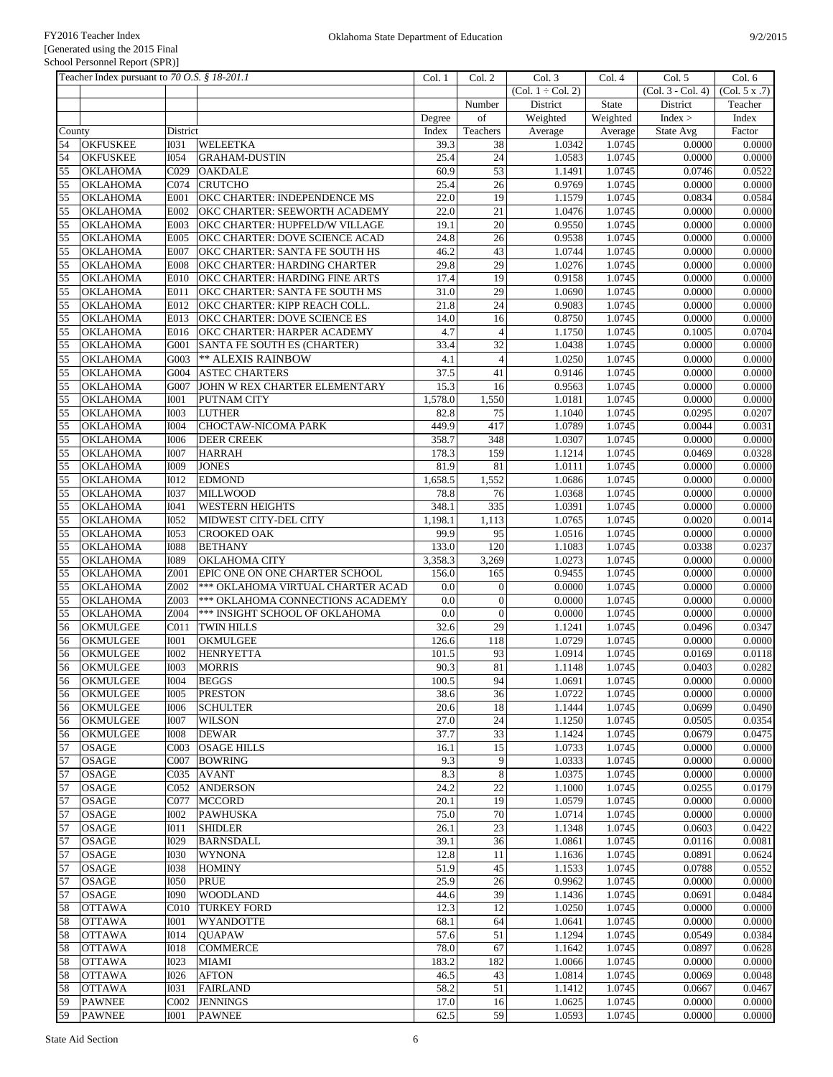| Teacher Index pursuant to 70 O.S. § 18-201.1   |                                 |                                                            | Col. 1         | Col. 2               | Col. 3              | Col.4            | Col. 5              | Col. 6           |
|------------------------------------------------|---------------------------------|------------------------------------------------------------|----------------|----------------------|---------------------|------------------|---------------------|------------------|
|                                                |                                 |                                                            |                |                      | $(Col. 1 + Col. 2)$ |                  | $(Col. 3 - Col. 4)$ | (Col. 5 x .7)    |
|                                                |                                 |                                                            |                | Number               | District            | State            | District            | Teacher          |
|                                                |                                 |                                                            | Degree         | of                   | Weighted            | Weighted         | Index >             | Index            |
| County                                         | District                        |                                                            | Index          | Teachers             | Average             | Average          | State Avg           | Factor           |
| 54<br><b>OKFUSKEE</b>                          | <b>I031</b>                     | WELEETKA                                                   | 39.3           | 38                   | 1.0342              | 1.0745           | 0.0000              | 0.0000           |
| 54<br><b>OKFUSKEE</b>                          | <b>I054</b>                     | <b>GRAHAM-DUSTIN</b>                                       | 25.4           | 24                   | 1.0583              | 1.0745           | 0.0000              | 0.0000           |
| 55<br><b>OKLAHOMA</b>                          | C029                            | <b>OAKDALE</b>                                             | 60.9           | 53                   | 1.1491              | 1.0745           | 0.0746              | 0.0522           |
| 55<br><b>OKLAHOMA</b>                          | C074                            | <b>CRUTCHO</b>                                             | 25.4           | 26                   | 0.9769              | 1.0745           | 0.0000              | 0.0000           |
| 55<br><b>OKLAHOMA</b>                          | E001                            | OKC CHARTER: INDEPENDENCE MS                               | 22.0           | 19                   | 1.1579              | 1.0745           | 0.0834              | 0.0584           |
| 55<br><b>OKLAHOMA</b>                          | E002                            | OKC CHARTER: SEEWORTH ACADEMY                              | 22.0           | $\overline{21}$      | 1.0476              | 1.0745           | 0.0000              | 0.0000           |
| 55<br><b>OKLAHOMA</b>                          | E003                            | OKC CHARTER: HUPFELD/W VILLAGE                             | 19.1           | 20                   | 0.9550              | 1.0745           | 0.0000              | 0.0000           |
| 55<br><b>OKLAHOMA</b>                          | E005                            | OKC CHARTER: DOVE SCIENCE ACAD                             | 24.8           | 26                   | 0.9538              | 1.0745           | 0.0000              | 0.0000           |
| 55<br><b>OKLAHOMA</b>                          | <b>E007</b>                     | OKC CHARTER: SANTA FE SOUTH HS                             | 46.2           | 43                   | 1.0744              | 1.0745           | 0.0000              | 0.0000           |
| 55<br><b>OKLAHOMA</b>                          | <b>E008</b>                     | OKC CHARTER: HARDING CHARTER                               | 29.8           | 29                   | 1.0276              | 1.0745           | 0.0000              | 0.0000           |
| 55<br><b>OKLAHOMA</b>                          | E010                            | OKC CHARTER: HARDING FINE ARTS                             | 17.4           | 19                   | 0.9158              | 1.0745           | 0.0000              | 0.0000           |
| 55<br><b>OKLAHOMA</b>                          | E011                            | OKC CHARTER: SANTA FE SOUTH MS                             | 31.0           | 29                   | 1.0690              | 1.0745           | 0.0000              | 0.0000           |
| 55<br><b>OKLAHOMA</b>                          | E012                            | OKC CHARTER: KIPP REACH COLL.                              | 21.8           | 24                   | 0.9083              | 1.0745           | 0.0000              | 0.0000           |
| 55<br><b>OKLAHOMA</b>                          | E013                            | <b>OKC CHARTER: DOVE SCIENCE ES</b>                        | 14.0           | 16                   | 0.8750              | 1.0745           | 0.0000              | 0.0000           |
| 55<br><b>OKLAHOMA</b>                          | E016                            | <b>OKC CHARTER: HARPER ACADEMY</b>                         | 4.7            | $\overline{4}$       | 1.1750              | 1.0745           | 0.1005              | 0.0704           |
| 55<br><b>OKLAHOMA</b>                          | G001                            | SANTA FE SOUTH ES (CHARTER)                                | 33.4           | 32                   | 1.0438              | 1.0745           | 0.0000              | 0.0000           |
| 55<br><b>OKLAHOMA</b>                          | G003                            | <b>** ALEXIS RAINBOW</b>                                   | 4.1            | $\overline{4}$       | 1.0250              | 1.0745           | 0.0000              | 0.0000           |
| 55<br><b>OKLAHOMA</b>                          | G004                            | <b>ASTEC CHARTERS</b>                                      | 37.5           | 41                   | 0.9146              | 1.0745           | 0.0000              | 0.0000           |
| 55<br><b>OKLAHOMA</b>                          | G007                            | JOHN W REX CHARTER ELEMENTARY                              | 15.3           | 16                   | 0.9563              | 1.0745           | 0.0000              | 0.0000           |
| 55<br><b>OKLAHOMA</b>                          | <b>IOO1</b>                     | PUTNAM CITY                                                | 1,578.0        | 1,550                | 1.0181              | 1.0745           | 0.0000              | 0.0000           |
| 55<br><b>OKLAHOMA</b>                          | <b>I003</b>                     | <b>LUTHER</b>                                              | 82.8           | 75                   | 1.1040              | 1.0745           | 0.0295              | 0.0207           |
| 55<br><b>OKLAHOMA</b>                          | <b>I004</b>                     | CHOCTAW-NICOMA PARK                                        | 449.9          | 417                  | 1.0789              | 1.0745           | 0.0044              | 0.0031           |
| 55<br><b>OKLAHOMA</b>                          | <b>I006</b>                     | <b>DEER CREEK</b>                                          | 358.7          | 348                  | 1.0307              | 1.0745           | 0.0000              | 0.0000           |
| 55<br><b>OKLAHOMA</b>                          | <b>I007</b>                     | <b>HARRAH</b>                                              | 178.3          | 159                  | 1.1214              | 1.0745           | 0.0469              | 0.0328           |
| 55<br><b>OKLAHOMA</b>                          | <b>I009</b>                     | <b>JONES</b>                                               | 81.9           | 81                   | 1.0111              | 1.0745           | 0.0000              | 0.0000           |
| 55<br><b>OKLAHOMA</b>                          | <b>IO12</b>                     | <b>EDMOND</b>                                              | 1,658.5        | 1,552                | 1.0686              | 1.0745           | 0.0000              | 0.0000           |
| 55<br><b>OKLAHOMA</b>                          | <b>I037</b>                     | <b>MILLWOOD</b>                                            | 78.8           | 76                   | 1.0368              | 1.0745           | 0.0000              | 0.0000           |
| 55<br><b>OKLAHOMA</b>                          | <b>I041</b>                     | <b>WESTERN HEIGHTS</b>                                     | 348.1          | 335                  | 1.0391              | 1.0745           | 0.0000              | 0.0000           |
| 55<br><b>OKLAHOMA</b>                          | <b>I052</b>                     | MIDWEST CITY-DEL CITY                                      | 1,198.1        | 1,113                | 1.0765              | 1.0745           | 0.0020              | 0.0014           |
| 55<br><b>OKLAHOMA</b>                          | <b>I053</b>                     | <b>CROOKED OAK</b>                                         | 99.9           | 95                   | 1.0516              | 1.0745           | 0.0000              | 0.0000           |
| 55<br><b>OKLAHOMA</b>                          | <b>IO88</b>                     | <b>BETHANY</b>                                             | 133.0          | 120                  | 1.1083              | 1.0745           | 0.0338              | 0.0237           |
| 55<br><b>OKLAHOMA</b>                          | <b>I089</b>                     | <b>OKLAHOMA CITY</b>                                       | 3,358.3        | 3,269                | 1.0273              | 1.0745           | 0.0000              | 0.0000           |
| 55<br><b>OKLAHOMA</b>                          | Z001                            | EPIC ONE ON ONE CHARTER SCHOOL                             | 156.0          | 165                  | 0.9455              | 1.0745           | 0.0000              | 0.0000           |
| 55<br><b>OKLAHOMA</b>                          | Z002                            | *** OKLAHOMA VIRTUAL CHARTER ACAD                          | 0.0            | $\mathbf{0}$         | 0.0000              | 1.0745           | 0.0000              | 0.0000           |
| 55<br><b>OKLAHOMA</b>                          | Z003                            | *** OKLAHOMA CONNECTIONS ACADEMY                           | 0.0            | $\overline{0}$       | 0.0000              | 1.0745           | 0.0000              | 0.0000           |
| 55<br><b>OKLAHOMA</b>                          | Z004                            | <b>*** INSIGHT SCHOOL OF OKLAHOMA</b><br><b>TWIN HILLS</b> | 0.0            | $\overline{0}$<br>29 | 0.0000              | 1.0745           | 0.0000              | 0.0000           |
| 56<br><b>OKMULGEE</b>                          | C <sub>011</sub><br><b>I001</b> |                                                            | 32.6           | 118                  | 1.1241<br>1.0729    | 1.0745           | 0.0496              | 0.0347           |
| 56<br><b>OKMULGEE</b><br>56<br><b>OKMULGEE</b> | <b>I002</b>                     | <b>OKMULGEE</b>                                            | 126.6<br>101.5 | 93                   | 1.0914              | 1.0745<br>1.0745 | 0.0000<br>0.0169    | 0.0000<br>0.0118 |
| 56<br>OKMULGEE                                 | <b>I003</b>                     | <b>HENRYETTA</b><br><b>MORRIS</b>                          | 90.3           | 81                   | 1.1148              | 1.0745           | 0.0403              | 0.0282           |
| 56<br><b>OKMULGEE</b>                          | <b>I004</b>                     | <b>BEGGS</b>                                               | 100.5          | 94                   | 1.0691              | 1.0745           | 0.0000              | 0.0000           |
| 56<br><b>OKMULGEE</b>                          |                                 |                                                            |                | 36                   | 1.0722              |                  | 0.0000              | 0.0000           |
| OKMULGEE<br>56                                 | <b>IOO5</b><br><b>I006</b>      | <b>PRESTON</b><br><b>SCHULTER</b>                          | 38.6<br>20.6   | 18                   | 1.1444              | 1.0745<br>1.0745 | 0.0699              | 0.0490           |
| <b>OKMULGEE</b><br>56                          | <b>I007</b>                     | <b>WILSON</b>                                              | 27.0           | 24                   | 1.1250              | 1.0745           | 0.0505              | 0.0354           |
| <b>OKMULGEE</b><br>56                          | <b>IOO8</b>                     | <b>DEWAR</b>                                               | 37.7           | 33                   | 1.1424              | 1.0745           | 0.0679              | 0.0475           |
| 57<br><b>OSAGE</b>                             | C <sub>0</sub> 03               | <b>OSAGE HILLS</b>                                         | 16.1           | 15                   | 1.0733              | 1.0745           | 0.0000              | 0.0000           |
| 57<br><b>OSAGE</b>                             | C007                            | <b>BOWRING</b>                                             | 9.3            | 9                    | 1.0333              | 1.0745           | 0.0000              | 0.0000           |
| 57<br><b>OSAGE</b>                             | C035                            | <b>AVANT</b>                                               | 8.3            | $\,8\,$              | 1.0375              | 1.0745           | 0.0000              | 0.0000           |
| 57<br><b>OSAGE</b>                             | CO <sub>52</sub>                | <b>ANDERSON</b>                                            | 24.2           | 22                   | 1.1000              | 1.0745           | 0.0255              | 0.0179           |
| 57<br><b>OSAGE</b>                             | C077                            | <b>MCCORD</b>                                              | 20.1           | 19                   | 1.0579              | 1.0745           | 0.0000              | 0.0000           |
| 57<br><b>OSAGE</b>                             | <b>IOO2</b>                     | <b>PAWHUSKA</b>                                            | 75.0           | 70                   | 1.0714              | 1.0745           | 0.0000              | 0.0000           |
| 57<br><b>OSAGE</b>                             | <b>IO11</b>                     | <b>SHIDLER</b>                                             | 26.1           | $23\,$               | 1.1348              | 1.0745           | 0.0603              | 0.0422           |
| 57<br><b>OSAGE</b>                             | I029                            | <b>BARNSDALL</b>                                           | 39.1           | 36                   | 1.0861              | 1.0745           | 0.0116              | 0.0081           |
| 57<br><b>OSAGE</b>                             | <b>I030</b>                     | <b>WYNONA</b>                                              | 12.8           | 11                   | 1.1636              | 1.0745           | 0.0891              | 0.0624           |
| 57<br><b>OSAGE</b>                             | <b>I038</b>                     | <b>HOMINY</b>                                              | 51.9           | 45                   | 1.1533              | 1.0745           | 0.0788              | 0.0552           |
| 57<br><b>OSAGE</b>                             | <b>I050</b>                     | PRUE                                                       | 25.9           | 26                   | 0.9962              | 1.0745           | 0.0000              | 0.0000           |
| 57<br><b>OSAGE</b>                             | <b>I090</b>                     | <b>WOODLAND</b>                                            | 44.6           | 39                   | 1.1436              | 1.0745           | 0.0691              | 0.0484           |
| 58<br><b>OTTAWA</b>                            | C <sub>010</sub>                | <b>TURKEY FORD</b>                                         | 12.3           | 12                   | 1.0250              | 1.0745           | 0.0000              | 0.0000           |
| 58<br><b>OTTAWA</b>                            | <b>IOO1</b>                     | <b>WYANDOTTE</b>                                           | 68.1           | 64                   | 1.0641              | 1.0745           | 0.0000              | 0.0000           |
| 58<br><b>OTTAWA</b>                            | I014                            | <b>QUAPAW</b>                                              | 57.6           | 51                   | 1.1294              | 1.0745           | 0.0549              | 0.0384           |
| 58<br><b>OTTAWA</b>                            | <b>IO18</b>                     | <b>COMMERCE</b>                                            | 78.0           | 67                   | 1.1642              | 1.0745           | 0.0897              | 0.0628           |
| <b>OTTAWA</b><br>58                            | <b>I023</b>                     | <b>MIAMI</b>                                               | 183.2          | 182                  | 1.0066              | 1.0745           | 0.0000              | 0.0000           |
| 58<br><b>OTTAWA</b>                            | I026                            | <b>AFTON</b>                                               | 46.5           | 43                   | 1.0814              | 1.0745           | 0.0069              | 0.0048           |
| 58<br><b>OTTAWA</b>                            | <b>I031</b>                     | <b>FAIRLAND</b>                                            | 58.2           | 51                   | 1.1412              | 1.0745           | 0.0667              | 0.0467           |
| <b>PAWNEE</b><br>59                            | C002                            | <b>JENNINGS</b>                                            | 17.0           | 16                   | 1.0625              | 1.0745           | 0.0000              | 0.0000           |
| 59<br><b>PAWNEE</b>                            | <b>IOO1</b>                     | <b>PAWNEE</b>                                              | 62.5           | 59                   | 1.0593              | 1.0745           | 0.0000              | 0.0000           |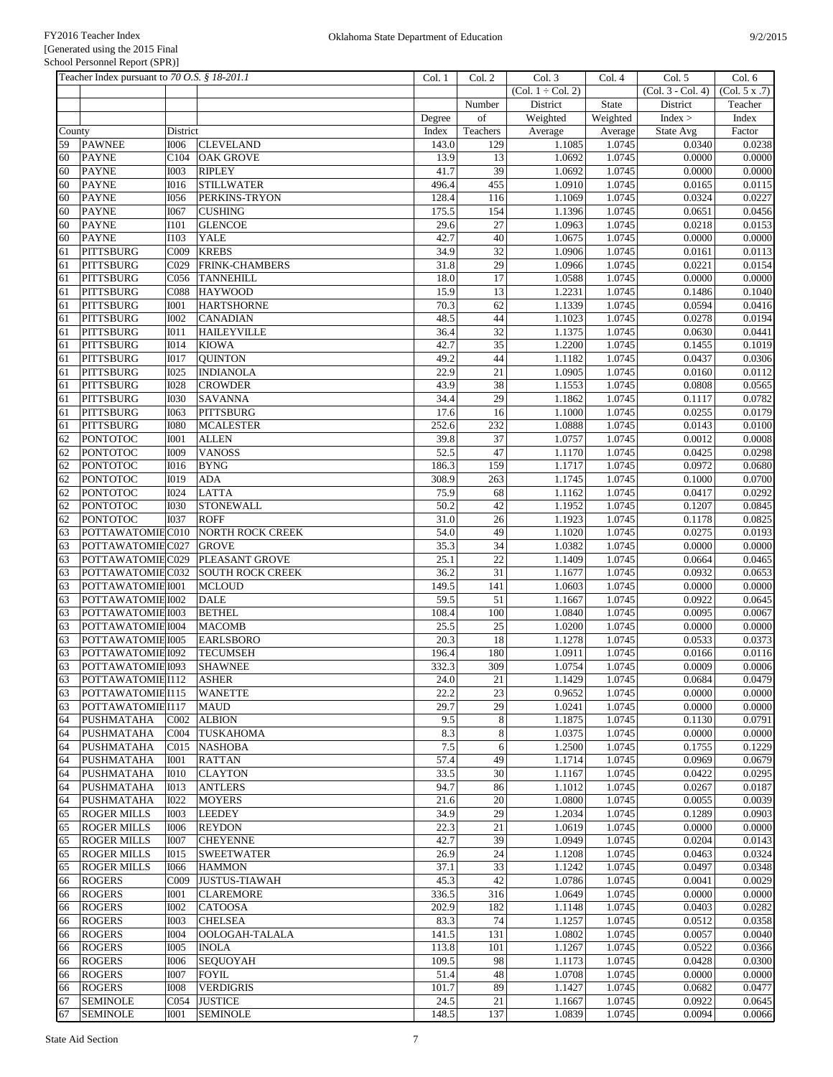|        | Teacher Index pursuant to 70 O.S. § 18-201.1 |                  |                         | Col. 1  | Col. 2          | Col. 3              | Col. 4       | Col. 5              | Col. 6           |
|--------|----------------------------------------------|------------------|-------------------------|---------|-----------------|---------------------|--------------|---------------------|------------------|
|        |                                              |                  |                         |         |                 | $(Col. 1 + Col. 2)$ |              | $(Col. 3 - Col. 4)$ | (Col. 5 x .7)    |
|        |                                              |                  |                         |         | Number          | District            | <b>State</b> | District            | Teacher          |
|        |                                              |                  |                         | Degree  | of              | Weighted            | Weighted     | Index >             | Index            |
| County |                                              | District         |                         | Index   | Teachers        | Average             | Average      | State Avg           | Factor           |
| 59     | <b>PAWNEE</b>                                | <b>I006</b>      | <b>CLEVELAND</b>        | 143.0   | 129             | 1.1085              | 1.0745       | 0.0340              | 0.0238           |
| 60     | <b>PAYNE</b>                                 | C104             | <b>OAK GROVE</b>        | 13.9    | 13              | 1.0692              | 1.0745       | 0.0000              | 0.0000           |
| 60     | <b>PAYNE</b>                                 | <b>I003</b>      | <b>RIPLEY</b>           | 41.7    | 39              | 1.0692              | 1.0745       | 0.0000              | 0.0000           |
| 60     | <b>PAYNE</b>                                 | <b>I016</b>      | <b>STILLWATER</b>       | 496.4   | 455             | 1.0910              | 1.0745       | 0.0165              | 0.0115           |
| 60     | <b>PAYNE</b>                                 | <b>I056</b>      | PERKINS-TRYON           | 128.4   | 116             | 1.1069              | 1.0745       | 0.0324              | 0.0227           |
| 60     | <b>PAYNE</b>                                 | <b>I067</b>      | <b>CUSHING</b>          | 175.5   | 154             | 1.1396              | 1.0745       | 0.0651              | 0.0456           |
|        |                                              |                  |                         |         | 27              |                     |              |                     |                  |
| 60     | <b>PAYNE</b>                                 | <b>I101</b>      | <b>GLENCOE</b>          | 29.6    |                 | 1.0963              | 1.0745       | 0.0218              | 0.0153           |
| 60     | <b>PAYNE</b>                                 | <b>I103</b>      | <b>YALE</b>             | 42.7    | 40              | 1.0675              | 1.0745       | 0.0000              | 0.0000           |
| 61     | <b>PITTSBURG</b>                             | C009             | <b>KREBS</b>            | 34.9    | $\overline{32}$ | 1.0906              | 1.0745       | 0.0161              | 0.0113           |
| 61     | <b>PITTSBURG</b>                             | C029             | <b>FRINK-CHAMBERS</b>   | 31.8    | 29              | 1.0966              | 1.0745       | 0.0221              | 0.0154           |
| 61     | PITTSBURG                                    | C056             | <b>TANNEHILL</b>        | 18.0    | 17              | 1.0588              | 1.0745       | 0.0000              | 0.0000           |
| 61     | <b>PITTSBURG</b>                             | C088             | <b>HAYWOOD</b>          | 15.9    | 13              | 1.2231              | 1.0745       | 0.1486              | 0.1040           |
| 61     | PITTSBURG                                    | <b>IOO1</b>      | <b>HARTSHORNE</b>       | 70.3    | 62              | 1.1339              | 1.0745       | 0.0594              | 0.0416           |
| 61     | <b>PITTSBURG</b>                             | <b>I002</b>      | <b>CANADIAN</b>         | 48.5    | 44              | 1.1023              | 1.0745       | 0.0278              | 0.0194           |
| 61     | <b>PITTSBURG</b>                             | I011             | <b>HAILEYVILLE</b>      | 36.4    | 32              | 1.1375              | 1.0745       | 0.0630              | 0.0441           |
| 61     | <b>PITTSBURG</b>                             | <b>IO14</b>      | <b>KIOWA</b>            | 42.7    | 35              | 1.2200              | 1.0745       | 0.1455              | 0.1019           |
| 61     | <b>PITTSBURG</b>                             | <b>IO17</b>      | <b>OUINTON</b>          | 49.2    | 44              | 1.1182              | 1.0745       | 0.0437              | 0.0306           |
| 61     | PITTSBURG                                    | <b>I025</b>      | <b>INDIANOLA</b>        | 22.9    | 21              | 1.0905              | 1.0745       | 0.0160              | 0.0112           |
| 61     | <b>PITTSBURG</b>                             | <b>I028</b>      | <b>CROWDER</b>          | 43.9    | 38              | 1.1553              | 1.0745       | 0.0808              | 0.0565           |
| 61     | <b>PITTSBURG</b>                             | <b>I030</b>      | <b>SAVANNA</b>          | 34.4    | 29              | 1.1862              | 1.0745       | 0.1117              | 0.0782           |
| 61     | <b>PITTSBURG</b>                             | I063             | <b>PITTSBURG</b>        | 17.6    | 16              | 1.1000              | 1.0745       | 0.0255              | 0.0179           |
| 61     | <b>PITTSBURG</b>                             | <b>I080</b>      | <b>MCALESTER</b>        | 252.6   | 232             | 1.0888              | 1.0745       | 0.0143              | 0.0100           |
| 62     | <b>PONTOTOC</b>                              | <b>I001</b>      | <b>ALLEN</b>            | 39.8    | 37              | 1.0757              | 1.0745       | 0.0012              | 0.0008           |
|        |                                              |                  |                         |         | 47              |                     |              | 0.0425              |                  |
| 62     | <b>PONTOTOC</b>                              | <b>I009</b>      | <b>VANOSS</b>           | 52.5    |                 | 1.1170              | 1.0745       |                     | 0.0298<br>0.0680 |
| 62     | <b>PONTOTOC</b>                              | <b>I016</b>      | <b>BYNG</b>             | 186.3   | 159             | 1.1717              | 1.0745       | 0.0972              |                  |
| 62     | <b>PONTOTOC</b>                              | I019             | <b>ADA</b>              | 308.9   | 263             | 1.1745              | 1.0745       | 0.1000              | 0.0700           |
| 62     | <b>PONTOTOC</b>                              | <b>I024</b>      | <b>LATTA</b>            | 75.9    | 68              | 1.1162              | 1.0745       | 0.0417              | 0.0292           |
| 62     | <b>PONTOTOC</b>                              | <b>I030</b>      | <b>STONEWALL</b>        | 50.2    | 42              | 1.1952              | 1.0745       | 0.1207              | 0.0845           |
| 62     | <b>PONTOTOC</b>                              | <b>I037</b>      | <b>ROFF</b>             | 31.0    | 26              | 1.1923              | 1.0745       | 0.1178              | 0.0825           |
| 63     | POTTAWATOMIEC010                             |                  | <b>NORTH ROCK CREEK</b> | 54.0    | 49              | 1.1020              | 1.0745       | 0.0275              | 0.0193           |
| 63     | POTTAWATOMIEC027                             |                  | <b>GROVE</b>            | 35.3    | 34              | 1.0382              | 1.0745       | 0.0000              | 0.0000           |
| 63     | POTTAWATOMIEC029                             |                  | PLEASANT GROVE          | 25.1    | 22              | 1.1409              | 1.0745       | 0.0664              | 0.0465           |
| 63     | POTTAWATOMIEC032                             |                  | <b>SOUTH ROCK CREEK</b> | 36.2    | 31              | 1.1677              | 1.0745       | 0.0932              | 0.0653           |
| 63     | POTTAWATOMIE 1001                            |                  | <b>MCLOUD</b>           | 149.5   | 141             | 1.0603              | 1.0745       | 0.0000              | 0.0000           |
| 63     | POTTAWATOMIE 1002                            |                  | <b>DALE</b>             | 59.5    | 51              | 1.1667              | 1.0745       | 0.0922              | 0.0645           |
| 63     | POTTAWATOMIE 1003                            |                  | <b>BETHEL</b>           | 108.4   | 100             | 1.0840              | 1.0745       | 0.0095              | 0.0067           |
| 63     | POTTAWATOMIE I004                            |                  | <b>MACOMB</b>           | 25.5    | 25              | 1.0200              | 1.0745       | 0.0000              | 0.0000           |
| 63     | POTTAWATOMIE 1005                            |                  | <b>EARLSBORO</b>        | 20.3    | 18              | 1.1278              | 1.0745       | 0.0533              | 0.0373           |
| 63     | POTTAWATOMIE 1092                            |                  | <b>TECUMSEH</b>         | 196.4   | 180             | 1.0911              | 1.0745       | 0.0166              | 0.0116           |
| 63     | POTTAWATOMIE 1093                            |                  | <b>SHAWNEE</b>          | 332.3   | 309             | 1.0754              | 1.0745       | 0.0009              | 0.0006           |
| 63     | POTTAWATOMIE I112                            |                  | <b>ASHER</b>            | 24.0    | 21              | 1.1429              | 1.0745       | 0.0684              | 0.0479           |
| 63     | POTTAWATOMIEI115                             |                  | <b>WANETTE</b>          | 22.2    | 23              | 0.9652              | 1.0745       | 0.0000              | 0.0000           |
| 63     | POTTAWATOMIEI117                             |                  | <b>MAUD</b>             | 29.7    | 29              | 1.0241              | 1.0745       | 0.0000              | 0.0000           |
|        |                                              |                  |                         |         |                 |                     |              |                     |                  |
| 64     | <b>PUSHMATAHA</b>                            | C <sub>002</sub> | <b>ALBION</b>           | 9.5     | $8\,$           | 1.1875              | 1.0745       | 0.1130              | 0.0791           |
| 64     | PUSHMATAHA                                   | C004             | <b>TUSKAHOMA</b>        | 8.3     | $\,8\,$         | 1.0375              | 1.0745       | 0.0000              | 0.0000           |
| 64     | PUSHMATAHA                                   | C015             | <b>NASHOBA</b>          | $7.5\,$ | 6               | 1.2500              | 1.0745       | 0.1755              | 0.1229           |
| 64     | PUSHMATAHA                                   | <b>I001</b>      | <b>RATTAN</b>           | 57.4    | 49              | 1.1714              | 1.0745       | 0.0969              | 0.0679           |
| 64     | PUSHMATAHA                                   | <b>IO10</b>      | <b>CLAYTON</b>          | 33.5    | 30              | 1.1167              | 1.0745       | 0.0422              | 0.0295           |
| 64     | PUSHMATAHA                                   | <b>I013</b>      | <b>ANTLERS</b>          | 94.7    | 86              | 1.1012              | 1.0745       | 0.0267              | 0.0187           |
| 64     | PUSHMATAHA                                   | <b>I022</b>      | <b>MOYERS</b>           | 21.6    | 20              | 1.0800              | 1.0745       | 0.0055              | 0.0039           |
| 65     | <b>ROGER MILLS</b>                           | <b>IOO3</b>      | <b>LEEDEY</b>           | 34.9    | 29              | 1.2034              | 1.0745       | 0.1289              | 0.0903           |
| 65     | <b>ROGER MILLS</b>                           | <b>I006</b>      | <b>REYDON</b>           | 22.3    | 21              | 1.0619              | 1.0745       | 0.0000              | 0.0000           |
| 65     | <b>ROGER MILLS</b>                           | <b>I007</b>      | <b>CHEYENNE</b>         | 42.7    | 39              | 1.0949              | 1.0745       | 0.0204              | 0.0143           |
| 65     | <b>ROGER MILLS</b>                           | I015             | <b>SWEETWATER</b>       | 26.9    | $24\,$          | 1.1208              | 1.0745       | 0.0463              | 0.0324           |
| 65     | <b>ROGER MILLS</b>                           | <b>I066</b>      | <b>HAMMON</b>           | 37.1    | 33              | 1.1242              | 1.0745       | 0.0497              | 0.0348           |
| 66     | <b>ROGERS</b>                                | C009             | <b>JUSTUS-TIAWAH</b>    | 45.3    | 42              | 1.0786              | 1.0745       | 0.0041              | 0.0029           |
| 66     | <b>ROGERS</b>                                | <b>IOO1</b>      | <b>CLAREMORE</b>        | 336.5   | 316             | 1.0649              | 1.0745       | 0.0000              | 0.0000           |
| 66     | <b>ROGERS</b>                                | <b>I002</b>      | <b>CATOOSA</b>          | 202.9   | 182             | 1.1148              | 1.0745       | 0.0403              | 0.0282           |
| 66     | <b>ROGERS</b>                                | 1003             | <b>CHELSEA</b>          | 83.3    | 74              | 1.1257              | 1.0745       | 0.0512              | 0.0358           |
| 66     | <b>ROGERS</b>                                | I004             | OOLOGAH-TALALA          | 141.5   | 131             | 1.0802              | 1.0745       | 0.0057              | 0.0040           |
| 66     | <b>ROGERS</b>                                | <b>I005</b>      | <b>INOLA</b>            | 113.8   | 101             | 1.1267              | 1.0745       | 0.0522              | 0.0366           |
|        | <b>ROGERS</b>                                |                  |                         | 109.5   | 98              |                     | 1.0745       | 0.0428              |                  |
| 66     |                                              | <b>I006</b>      | <b>SEQUOYAH</b>         |         |                 | 1.1173              |              |                     | 0.0300           |
| 66     | <b>ROGERS</b>                                | <b>I007</b>      | <b>FOYIL</b>            | 51.4    | $48\,$          | 1.0708              | 1.0745       | 0.0000              | 0.0000           |
| 66     | <b>ROGERS</b>                                | <b>IOO8</b>      | <b>VERDIGRIS</b>        | 101.7   | 89              | 1.1427              | 1.0745       | 0.0682              | 0.0477           |
| 67     | <b>SEMINOLE</b>                              | C054             | <b>JUSTICE</b>          | 24.5    | 21              | 1.1667              | 1.0745       | 0.0922              | 0.0645           |
| 67     | <b>SEMINOLE</b>                              | <b>IOO1</b>      | <b>SEMINOLE</b>         | 148.5   | 137             | 1.0839              | 1.0745       | 0.0094              | 0.0066           |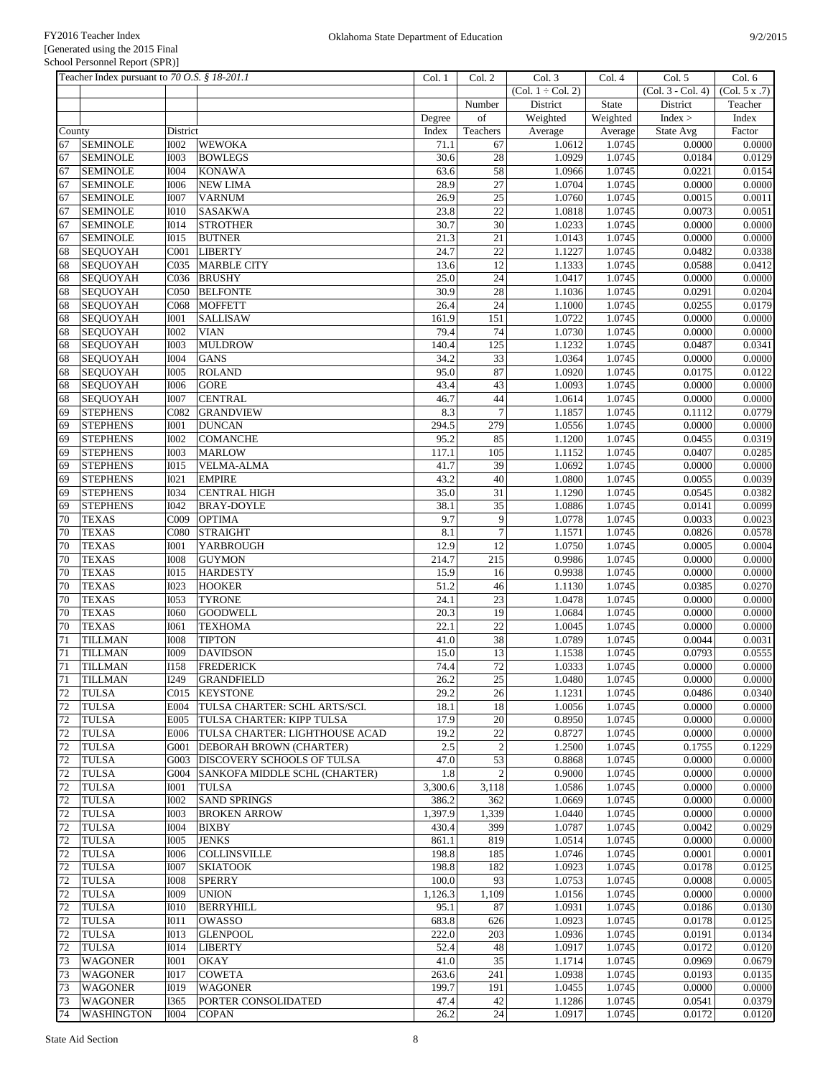|        | Teacher Index pursuant to 70 O.S. § 18-201.1 |                  |                                   | Col. 1  | Col. 2          | Col. 3              | Col. 4   | Col. 5              | Col. 6        |
|--------|----------------------------------------------|------------------|-----------------------------------|---------|-----------------|---------------------|----------|---------------------|---------------|
|        |                                              |                  |                                   |         |                 | $(Col. 1 + Col. 2)$ |          | $(Col. 3 - Col. 4)$ | (Col. 5 x .7) |
|        |                                              |                  |                                   |         | Number          | District            | State    | District            | Teacher       |
|        |                                              |                  |                                   | Degree  | of              | Weighted            | Weighted | Index >             | Index         |
| County |                                              | District         |                                   | Index   | Teachers        | Average             | Average  | State Avg           | Factor        |
| 67     | <b>SEMINOLE</b>                              | <b>I002</b>      | <b>WEWOKA</b>                     | 71.1    | 67              | 1.0612              | 1.0745   | 0.0000              | 0.0000        |
| 67     | <b>SEMINOLE</b>                              | <b>I003</b>      | <b>BOWLEGS</b>                    | 30.6    | 28              | 1.0929              | 1.0745   | 0.0184              | 0.0129        |
| 67     | <b>SEMINOLE</b>                              | <b>I004</b>      | <b>KONAWA</b>                     | 63.6    | 58              | 1.0966              | 1.0745   | 0.0221              | 0.0154        |
| 67     | <b>SEMINOLE</b>                              | <b>I006</b>      | <b>NEW LIMA</b>                   | 28.9    | 27              | 1.0704              | 1.0745   | 0.0000              | 0.0000        |
| 67     | <b>SEMINOLE</b>                              | <b>I007</b>      | <b>VARNUM</b>                     | 26.9    | $\overline{25}$ | 1.0760              | 1.0745   | 0.0015              | 0.0011        |
| 67     | <b>SEMINOLE</b>                              | <b>IO10</b>      | <b>SASAKWA</b>                    | 23.8    | 22              | 1.0818              | 1.0745   | 0.0073              | 0.0051        |
| 67     | <b>SEMINOLE</b>                              | <b>I014</b>      | <b>STROTHER</b>                   | 30.7    | 30              | 1.0233              | 1.0745   | 0.0000              | 0.0000        |
| 67     | <b>SEMINOLE</b>                              | <b>IO15</b>      | <b>BUTNER</b>                     | 21.3    | $\overline{21}$ | 1.0143              | 1.0745   | 0.0000              | 0.0000        |
| 68     | <b>SEQUOYAH</b>                              | C001             | <b>LIBERTY</b>                    | 24.7    | 22              | 1.1227              | 1.0745   | 0.0482              | 0.0338        |
| 68     | SEQUOYAH                                     | CO <sub>35</sub> | MARBLE CITY                       | 13.6    | 12              | 1.1333              | 1.0745   | 0.0588              | 0.0412        |
| 68     | SEQUOYAH                                     | CO <sub>36</sub> | <b>BRUSHY</b>                     | 25.0    | $\overline{24}$ | 1.0417              | 1.0745   | 0.0000              | 0.0000        |
| 68     | SEQUOYAH                                     | C050             | <b>BELFONTE</b>                   | 30.9    | 28              | 1.1036              | 1.0745   | 0.0291              | 0.0204        |
| 68     | <b>SEQUOYAH</b>                              | C068             | <b>MOFFETT</b>                    | 26.4    | $\overline{24}$ | 1.1000              | 1.0745   | 0.0255              | 0.0179        |
| 68     | SEQUOYAH                                     | I001             | <b>SALLISAW</b>                   | 161.9   | 151             | 1.0722              | 1.0745   | 0.0000              | 0.0000        |
| 68     | SEQUOYAH                                     | <b>I002</b>      | <b>VIAN</b>                       | 79.4    | 74              | 1.0730              | 1.0745   | 0.0000              | 0.0000        |
| 68     | <b>SEQUOYAH</b>                              | <b>I003</b>      | <b>MULDROW</b>                    | 140.4   | 125             | 1.1232              | 1.0745   | 0.0487              | 0.0341        |
| 68     | <b>SEQUOYAH</b>                              | <b>I004</b>      | <b>GANS</b>                       | 34.2    | 33              | 1.0364              | 1.0745   | 0.0000              | 0.0000        |
| 68     | SEQUOYAH                                     | <b>I005</b>      | <b>ROLAND</b>                     | 95.0    | 87              | 1.0920              | 1.0745   | 0.0175              | 0.0122        |
| 68     | SEQUOYAH                                     | <b>I006</b>      | <b>GORE</b>                       | 43.4    | 43              | 1.0093              | 1.0745   | 0.0000              | 0.0000        |
| 68     | <b>SEQUOYAH</b>                              | <b>I007</b>      | <b>CENTRAL</b>                    | 46.7    | 44              | 1.0614              | 1.0745   | 0.0000              | 0.0000        |
| 69     | <b>STEPHENS</b>                              | C082             | <b>GRANDVIEW</b>                  | 8.3     | $\overline{7}$  | 1.1857              | 1.0745   | 0.1112              | 0.0779        |
| 69     | <b>STEPHENS</b>                              | <b>I001</b>      | <b>DUNCAN</b>                     | 294.5   | 279             | 1.0556              | 1.0745   | 0.0000              | 0.0000        |
| 69     | <b>STEPHENS</b>                              | <b>I002</b>      | <b>COMANCHE</b>                   | 95.2    | 85              | 1.1200              | 1.0745   | 0.0455              | 0.0319        |
| 69     | <b>STEPHENS</b>                              | <b>IOO3</b>      | <b>MARLOW</b>                     | 117.1   | 105             | 1.1152              | 1.0745   | 0.0407              | 0.0285        |
| 69     | <b>STEPHENS</b>                              | <b>IO15</b>      | <b>VELMA-ALMA</b>                 | 41.7    | 39              | 1.0692              | 1.0745   | 0.0000              | 0.0000        |
| 69     | <b>STEPHENS</b>                              | <b>I021</b>      | <b>EMPIRE</b>                     | 43.2    | $40\,$          | 1.0800              | 1.0745   | 0.0055              | 0.0039        |
| 69     | <b>STEPHENS</b>                              | <b>I034</b>      | <b>CENTRAL HIGH</b>               | 35.0    | $\overline{31}$ | 1.1290              | 1.0745   | 0.0545              | 0.0382        |
| 69     | <b>STEPHENS</b>                              | I042             | <b>BRAY-DOYLE</b>                 | 38.1    | 35              | 1.0886              | 1.0745   | 0.0141              | 0.0099        |
| 70     | <b>TEXAS</b>                                 | C009             | <b>OPTIMA</b>                     | 9.7     | $\overline{9}$  | 1.0778              | 1.0745   | 0.0033              | 0.0023        |
| 70     | <b>TEXAS</b>                                 | C080             | <b>STRAIGHT</b>                   | 8.1     | $\overline{7}$  | 1.1571              | 1.0745   | 0.0826              | 0.0578        |
| 70     | <b>TEXAS</b>                                 | <b>I001</b>      | <b>YARBROUGH</b>                  | 12.9    | 12              | 1.0750              | 1.0745   | 0.0005              | 0.0004        |
| 70     | <b>TEXAS</b>                                 | <b>IOO8</b>      | <b>GUYMON</b>                     | 214.7   | 215             | 0.9986              | 1.0745   | 0.0000              | 0.0000        |
| 70     | <b>TEXAS</b>                                 | <b>IO15</b>      | <b>HARDESTY</b>                   | 15.9    | 16              | 0.9938              | 1.0745   | 0.0000              | 0.0000        |
| 70     | <b>TEXAS</b>                                 | <b>I023</b>      | <b>HOOKER</b>                     | 51.2    | 46              | 1.1130              | 1.0745   | 0.0385              | 0.0270        |
| 70     | <b>TEXAS</b>                                 | <b>I053</b>      | <b>TYRONE</b>                     | 24.1    | 23              | 1.0478              | 1.0745   | 0.0000              | 0.0000        |
| 70     | <b>TEXAS</b>                                 | <b>I060</b>      | <b>GOODWELL</b>                   | 20.3    | 19              | 1.0684              | 1.0745   | 0.0000              | 0.0000        |
| 70     | <b>TEXAS</b>                                 | I061             | <b>TEXHOMA</b>                    | 22.1    | $\overline{22}$ | 1.0045              | 1.0745   | 0.0000              | 0.0000        |
| 71     | <b>TILLMAN</b>                               | <b>IOO8</b>      | <b>TIPTON</b>                     | 41.0    | 38              | 1.0789              | 1.0745   | 0.0044              | 0.0031        |
| 71     | <b>TILLMAN</b>                               | I009             | <b>DAVIDSON</b>                   | 15.0    | 13              | 1.1538              | 1.0745   | 0.0793              | 0.0555        |
| 71     | <b>TILLMAN</b>                               | <b>I158</b>      | <b>FREDERICK</b>                  | 74.4    | 72              | 1.0333              | 1.0745   | 0.0000              | 0.0000        |
| 71     | <b>TILLMAN</b>                               | I249             | GRANDFIELD                        | 26.2    | $25\,$          | 1.0480              | 1.0745   | 0.0000              | 0.0000        |
| 72     | <b>TULSA</b>                                 |                  | C015 KEYSTONE                     | 29.2    | 26              | 1.1231              | 1.0745   | 0.0486              | 0.0340        |
| 72     | <b>TULSA</b>                                 | E004             | TULSA CHARTER: SCHL ARTS/SCI.     | 18.1    | 18              | 1.0056              | 1.0745   | 0.0000              | 0.0000        |
| 72     | <b>TULSA</b>                                 | E005             | TULSA CHARTER: KIPP TULSA         | 17.9    | 20              | 0.8950              | 1.0745   | 0.0000              | 0.0000        |
| 72     | <b>TULSA</b>                                 | E006             | TULSA CHARTER: LIGHTHOUSE ACAD    | 19.2    | 22              | 0.8727              | 1.0745   | 0.0000              | 0.0000        |
| 72     | <b>TULSA</b>                                 | G001             | <b>DEBORAH BROWN (CHARTER)</b>    | 2.5     | $\sqrt{2}$      | 1.2500              | 1.0745   | 0.1755              | 0.1229        |
| 72     | <b>TULSA</b>                                 | G003             | <b>DISCOVERY SCHOOLS OF TULSA</b> | 47.0    | 53              | 0.8868              | 1.0745   | 0.0000              | 0.0000        |
| 72     | <b>TULSA</b>                                 | G004             | SANKOFA MIDDLE SCHL (CHARTER)     | 1.8     | $\overline{2}$  | 0.9000              | 1.0745   | 0.0000              | 0.0000        |
| 72     | <b>TULSA</b>                                 | <b>IOO1</b>      | <b>TULSA</b>                      | 3,300.6 | 3,118           | 1.0586              | 1.0745   | 0.0000              | 0.0000        |
| 72     | <b>TULSA</b>                                 | <b>I002</b>      | <b>SAND SPRINGS</b>               | 386.2   | 362             | 1.0669              | 1.0745   | 0.0000              | 0.0000        |
| 72     | <b>TULSA</b>                                 | <b>IOO3</b>      | <b>BROKEN ARROW</b>               | 1,397.9 | 1,339           | 1.0440              | 1.0745   | 0.0000              | 0.0000        |
| 72     | <b>TULSA</b>                                 | <b>I004</b>      | <b>BIXBY</b>                      | 430.4   | 399             | 1.0787              | 1.0745   | 0.0042              | 0.0029        |
| 72     | <b>TULSA</b>                                 | <b>I005</b>      | <b>JENKS</b>                      | 861.1   | 819             | 1.0514              | 1.0745   | 0.0000              | 0.0000        |
| 72     | <b>TULSA</b>                                 | <b>I006</b>      | <b>COLLINSVILLE</b>               | 198.8   | 185             | 1.0746              | 1.0745   | 0.0001              | 0.0001        |
| 72     | <b>TULSA</b>                                 | <b>I007</b>      | <b>SKIATOOK</b>                   | 198.8   | 182             | 1.0923              | 1.0745   | 0.0178              | 0.0125        |
| 72     | <b>TULSA</b>                                 | <b>IOO8</b>      | <b>SPERRY</b>                     | 100.0   | 93              | 1.0753              | 1.0745   | 0.0008              | 0.0005        |
| 72     | <b>TULSA</b>                                 | <b>I009</b>      | <b>UNION</b>                      | 1,126.3 | 1,109           | 1.0156              | 1.0745   | 0.0000              | 0.0000        |
| 72     | <b>TULSA</b>                                 | <b>IO10</b>      | <b>BERRYHILL</b>                  | 95.1    | 87              | 1.0931              | 1.0745   | 0.0186              | 0.0130        |
| 72     | <b>TULSA</b>                                 | I011             | <b>OWASSO</b>                     | 683.8   | 626             | 1.0923              | 1.0745   | 0.0178              | 0.0125        |
| 72     | <b>TULSA</b>                                 | <b>IO13</b>      | <b>GLENPOOL</b>                   | 222.0   | 203             | 1.0936              | 1.0745   | 0.0191              | 0.0134        |
| 72     | <b>TULSA</b>                                 | I <sub>014</sub> | <b>LIBERTY</b>                    | 52.4    | 48              | 1.0917              | 1.0745   | 0.0172              | 0.0120        |
| 73     | <b>WAGONER</b>                               | <b>IOO1</b>      | <b>OKAY</b>                       | 41.0    | 35              | 1.1714              | 1.0745   | 0.0969              | 0.0679        |
| 73     | <b>WAGONER</b>                               | <b>I017</b>      | <b>COWETA</b>                     | 263.6   | 241             | 1.0938              | 1.0745   | 0.0193              | 0.0135        |
| 73     | <b>WAGONER</b>                               | <b>I019</b>      | <b>WAGONER</b>                    | 199.7   | 191             | 1.0455              | 1.0745   | 0.0000              | 0.0000        |
| 73     | <b>WAGONER</b>                               | I365             | PORTER CONSOLIDATED               | 47.4    | 42              | 1.1286              | 1.0745   | 0.0541              | 0.0379        |
| 74     | <b>WASHINGTON</b>                            | <b>I004</b>      | <b>COPAN</b>                      | 26.2    | 24              | 1.0917              | 1.0745   | 0.0172              | 0.0120        |